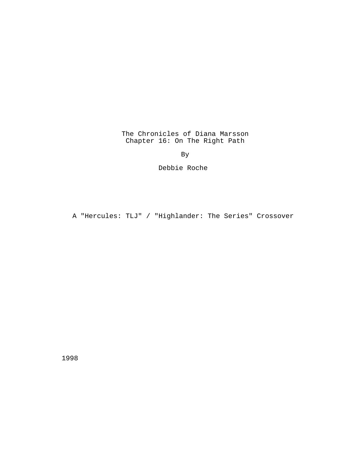The Chronicles of Diana Marsson Chapter 16: On The Right Path

By

Debbie Roche

A "Hercules: TLJ" / "Highlander: The Series" Crossover

1998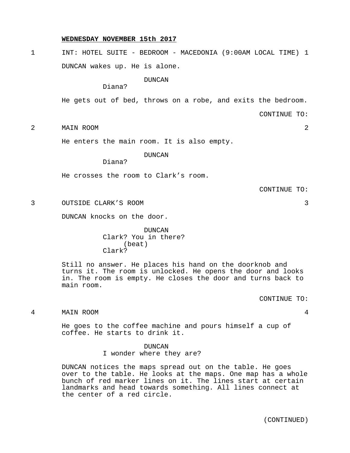#### **WEDNESDAY NOVEMBER 15th 2017**

1 INT: HOTEL SUITE - BEDROOM - MACEDONIA (9:00AM LOCAL TIME) 1 DUNCAN wakes up. He is alone.

DUNCAN

Diana?

He gets out of bed, throws on a robe, and exits the bedroom.

CONTINUE TO:

2 MAIN ROOM 2

He enters the main room. It is also empty.

DUNCAN

Diana?

He crosses the room to Clark's room.

CONTINUE TO:

3 OUTSIDE CLARK'S ROOM 3

DUNCAN knocks on the door.

DUNCAN Clark? You in there? (beat) Clark?

Still no answer. He places his hand on the doorknob and turns it. The room is unlocked. He opens the door and looks in. The room is empty. He closes the door and turns back to main room.

CONTINUE TO:

4 MAIN ROOM 4

He goes to the coffee machine and pours himself a cup of coffee. He starts to drink it.

#### DUNCAN

I wonder where they are?

DUNCAN notices the maps spread out on the table. He goes over to the table. He looks at the maps. One map has a whole bunch of red marker lines on it. The lines start at certain landmarks and head towards something. All lines connect at the center of a red circle.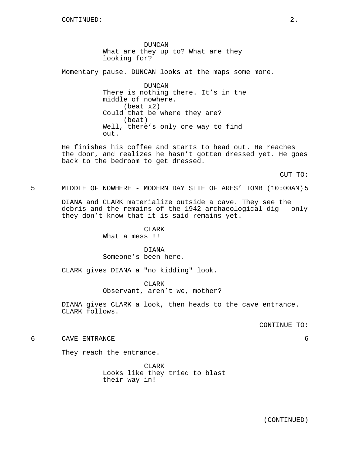DUNCAN What are they up to? What are they looking for?

Momentary pause. DUNCAN looks at the maps some more.

DUNCAN There is nothing there. It's in the middle of nowhere. (beat x2) Could that be where they are? (beat) Well, there's only one way to find out.

He finishes his coffee and starts to head out. He reaches the door, and realizes he hasn't gotten dressed yet. He goes back to the bedroom to get dressed.

CUT TO:

5 MIDDLE OF NOWHERE - MODERN DAY SITE OF ARES' TOMB (10:00AM) 5

DIANA and CLARK materialize outside a cave. They see the debris and the remains of the 1942 archaeological dig - only they don't know that it is said remains yet.

> CLARK What a mess!!!

DIANA Someone's been here.

CLARK gives DIANA a "no kidding" look.

CLARK Observant, aren't we, mother?

DIANA gives CLARK a look, then heads to the cave entrance. CLARK follows.

CONTINUE TO:

6 CAVE ENTRANCE 6

They reach the entrance.

CLARK Looks like they tried to blast their way in!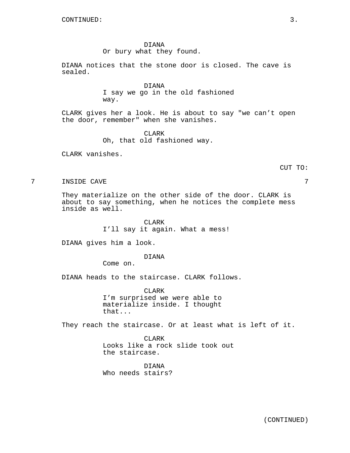DIANA Or bury what they found.

DIANA notices that the stone door is closed. The cave is sealed.

> DIANA I say we go in the old fashioned way.

CLARK gives her a look. He is about to say "we can't open the door, remember" when she vanishes.

> CLARK Oh, that old fashioned way.

CLARK vanishes.

CUT TO:

7 INSIDE CAVE 7

They materialize on the other side of the door. CLARK is about to say something, when he notices the complete mess inside as well.

> CLARK I'll say it again. What a mess!

DIANA gives him a look.

DIANA

Come on.

DIANA heads to the staircase. CLARK follows.

CLARK I'm surprised we were able to materialize inside. I thought that...

They reach the staircase. Or at least what is left of it.

CLARK Looks like a rock slide took out the staircase.

DIANA Who needs stairs?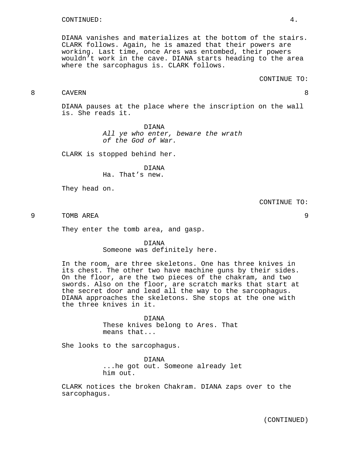DIANA vanishes and materializes at the bottom of the stairs. CLARK follows. Again, he is amazed that their powers are working. Last time, once Ares was entombed, their powers wouldn't work in the cave. DIANA starts heading to the area where the sarcophagus is. CLARK follows.

CONTINUE TO:

# 8 CAVERN 8

DIANA pauses at the place where the inscription on the wall is. She reads it.

> DIANA All ye who enter, beware the wrath of the God of War.

CLARK is stopped behind her.

DIANA Ha. That's new.

They head on.

CONTINUE TO:

9 TOMB AREA 9

They enter the tomb area, and gasp.

DIANA

Someone was definitely here.

In the room, are three skeletons. One has three knives in its chest. The other two have machine guns by their sides. On the floor, are the two pieces of the chakram, and two swords. Also on the floor, are scratch marks that start at the secret door and lead all the way to the sarcophagus. DIANA approaches the skeletons. She stops at the one with the three knives in it.

> DIANA These knives belong to Ares. That means that...

She looks to the sarcophagus.

DIANA ...he got out. Someone already let him out.

CLARK notices the broken Chakram. DIANA zaps over to the sarcophagus.

(CONTINUED)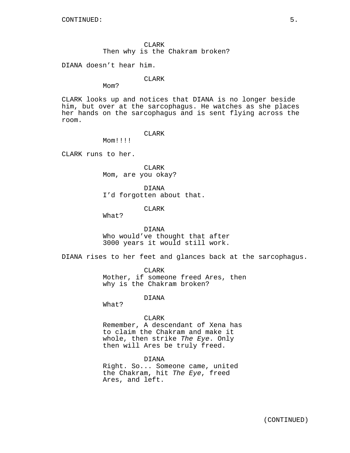CLARK Then why is the Chakram broken?

DIANA doesn't hear him.

## CLARK

Mom?

CLARK looks up and notices that DIANA is no longer beside him, but over at the sarcophagus. He watches as she places her hands on the sarcophagus and is sent flying across the room.

CLARK

Mom!!!!

CLARK runs to her.

CLARK Mom, are you okay?

DIANA I'd forgotten about that.

CLARK

What?

DIANA Who would've thought that after 3000 years it would still work.

DIANA rises to her feet and glances back at the sarcophagus.

CLARK Mother, if someone freed Ares, then why is the Chakram broken?

DIANA

What?

CLARK

Remember, A descendant of Xena has to claim the Chakram and make it whole, then strike The Eye. Only then will Ares be truly freed.

DIANA Right. So... Someone came, united the Chakram, hit The Eye, freed Ares, and left.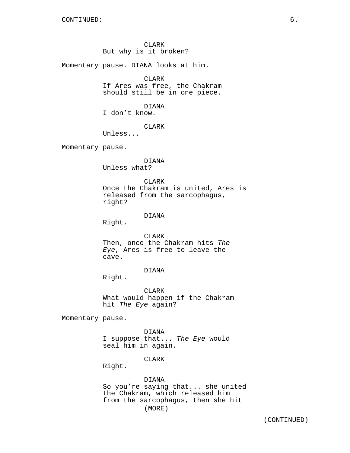CLARK But why is it broken?

Momentary pause. DIANA looks at him.

CLARK

If Ares was free, the Chakram should still be in one piece.

DIANA

I don't know.

CLARK

Unless...

Momentary pause.

DIANA Unless what?

CLARK Once the Chakram is united, Ares is released from the sarcophagus, right?

DIANA

Right.

CLARK Then, once the Chakram hits The Eye, Ares is free to leave the cave.

DIANA

Right.

CLARK What would happen if the Chakram hit The Eye again?

Momentary pause.

DIANA I suppose that... The Eye would seal him in again.

CLARK

Right.

### DIANA

So you're saying that... she united the Chakram, which released him from the sarcophagus, then she hit (MORE)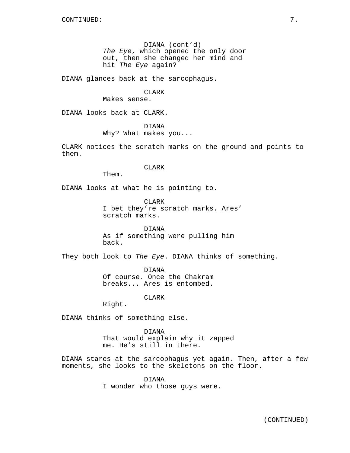DIANA (cont'd) The Eye, which opened the only door out, then she changed her mind and hit The Eye again?

DIANA glances back at the sarcophagus.

### CLARK

Makes sense.

DIANA looks back at CLARK.

DIANA

Why? What makes you...

CLARK notices the scratch marks on the ground and points to them.

CLARK

Them.

DIANA looks at what he is pointing to.

CLARK I bet they're scratch marks. Ares' scratch marks.

DIANA As if something were pulling him back.

They both look to The Eye. DIANA thinks of something.

DIANA Of course. Once the Chakram breaks... Ares is entombed.

CLARK

Right.

DIANA thinks of something else.

DIANA That would explain why it zapped me. He's still in there.

DIANA stares at the sarcophagus yet again. Then, after a few moments, she looks to the skeletons on the floor.

DIANA

I wonder who those guys were.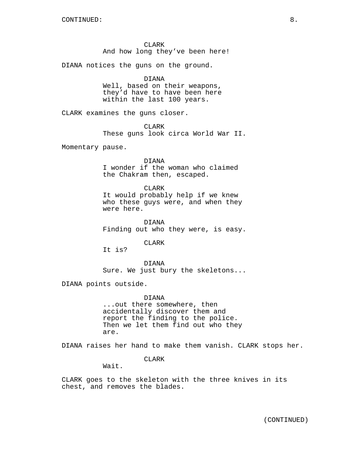CLARK And how long they've been here!

DIANA notices the guns on the ground.

# DIANA

Well, based on their weapons, they'd have to have been here within the last 100 years.

CLARK examines the guns closer.

CLARK

These guns look circa World War II.

Momentary pause.

DIANA I wonder if the woman who claimed the Chakram then, escaped.

#### CLARK

It would probably help if we knew who these guys were, and when they were here.

DIANA Finding out who they were, is easy.

CLARK

It is?

DIANA Sure. We just bury the skeletons...

DIANA points outside.

DIANA ...out there somewhere, then accidentally discover them and report the finding to the police. Then we let them find out who they are.

DIANA raises her hand to make them vanish. CLARK stops her.

CLARK

Wait.

CLARK goes to the skeleton with the three knives in its chest, and removes the blades.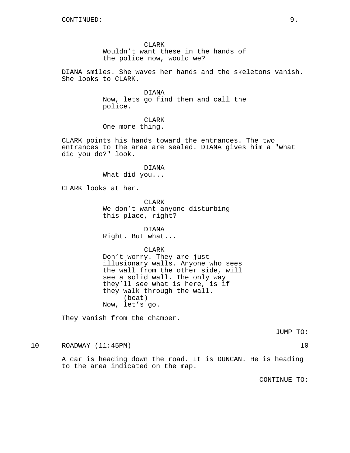CLARK

Wouldn't want these in the hands of the police now, would we?

DIANA smiles. She waves her hands and the skeletons vanish. She looks to CLARK.

> DIANA Now, lets go find them and call the police.

CLARK One more thing.

CLARK points his hands toward the entrances. The two entrances to the area are sealed. DIANA gives him a "what did you do?" look.

DIANA

What did you...

CLARK looks at her.

CLARK We don't want anyone disturbing this place, right?

DIANA Right. But what...

## CLARK

Don't worry. They are just illusionary walls. Anyone who sees the wall from the other side, will see a solid wall. The only way they'll see what is here, is if they walk through the wall. (beat) Now, let's go.

They vanish from the chamber.

JUMP TO:

10 ROADWAY (11:45PM) 10

A car is heading down the road. It is DUNCAN. He is heading to the area indicated on the map.

CONTINUE TO: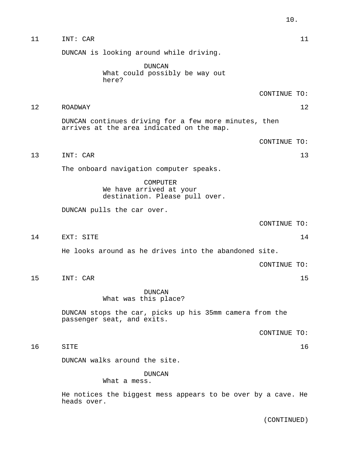| 11 | INT: CAR                                                                                           |              | 11 |
|----|----------------------------------------------------------------------------------------------------|--------------|----|
|    | DUNCAN is looking around while driving.                                                            |              |    |
|    | <b>DUNCAN</b><br>What could possibly be way out<br>here?                                           |              |    |
|    |                                                                                                    | CONTINUE TO: |    |
| 12 | ROADWAY                                                                                            |              | 12 |
|    | DUNCAN continues driving for a few more minutes, then<br>arrives at the area indicated on the map. |              |    |
|    |                                                                                                    | CONTINUE TO: |    |
| 13 | INT: CAR                                                                                           |              | 13 |
|    | The onboard navigation computer speaks.                                                            |              |    |
|    | COMPUTER<br>We have arrived at your<br>destination. Please pull over.                              |              |    |
|    | DUNCAN pulls the car over.                                                                         |              |    |
|    |                                                                                                    | CONTINUE TO: |    |
| 14 | EXT: SITE                                                                                          |              | 14 |
|    | He looks around as he drives into the abandoned site.                                              |              |    |
|    |                                                                                                    | CONTINUE TO: |    |
| 15 | INT: CAR                                                                                           |              | 15 |
|    | <b>DUNCAN</b><br>What was this place?                                                              |              |    |
|    | DUNCAN stops the car, picks up his 35mm camera from the<br>passenger seat, and exits.              |              |    |
|    |                                                                                                    | CONTINUE TO: |    |
| 16 | SITE                                                                                               |              | 16 |
|    | DUNCAN walks around the site.                                                                      |              |    |
|    | <b>DUNCAN</b><br>What a mess.                                                                      |              |    |
|    | He notices the biggest mess appears to be over by a cave. He<br>heads over.                        |              |    |

(CONTINUED)

10.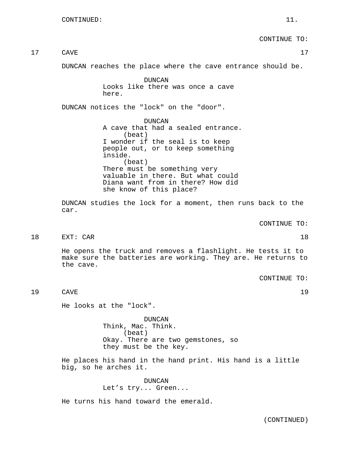CONTINUE TO:

17 CAVE 217

DUNCAN reaches the place where the cave entrance should be.

DUNCAN Looks like there was once a cave here.

DUNCAN notices the "lock" on the "door".

DUNCAN A cave that had a sealed entrance. (beat) I wonder if the seal is to keep people out, or to keep something inside. (beat) There must be something very valuable in there. But what could Diana want from in there? How did she know of this place?

DUNCAN studies the lock for a moment, then runs back to the car.

CONTINUE TO:

18 EXT: CAR 18

He opens the truck and removes a flashlight. He tests it to make sure the batteries are working. They are. He returns to the cave.

CONTINUE TO:

19 CAVE 2012 19

He looks at the "lock".

DUNCAN Think, Mac. Think. (beat) Okay. There are two gemstones, so they must be the key.

He places his hand in the hand print. His hand is a little big, so he arches it.

> DUNCAN Let's try... Green...

He turns his hand toward the emerald.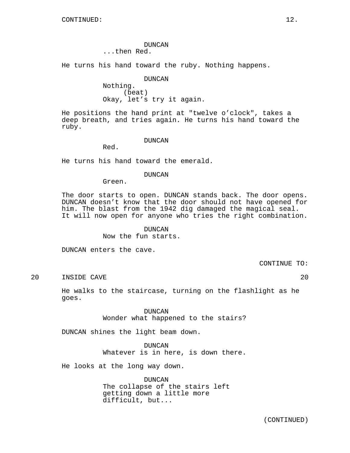DUNCAN ...then Red.

He turns his hand toward the ruby. Nothing happens.

DUNCAN Nothing.

(beat) Okay, let's try it again.

He positions the hand print at "twelve o'clock", takes a deep breath, and tries again. He turns his hand toward the ruby.

### DUNCAN

Red.

He turns his hand toward the emerald.

#### DUNCAN

Green.

The door starts to open. DUNCAN stands back. The door opens. DUNCAN doesn't know that the door should not have opened for him. The blast from the 1942 dig damaged the magical seal. It will now open for anyone who tries the right combination.

DUNCAN

Now the fun starts.

DUNCAN enters the cave.

CONTINUE TO:

20 INSIDE CAVE 20

He walks to the staircase, turning on the flashlight as he goes.

> DUNCAN Wonder what happened to the stairs?

DUNCAN shines the light beam down.

DUNCAN Whatever is in here, is down there.

He looks at the long way down.

DUNCAN The collapse of the stairs left getting down a little more difficult, but...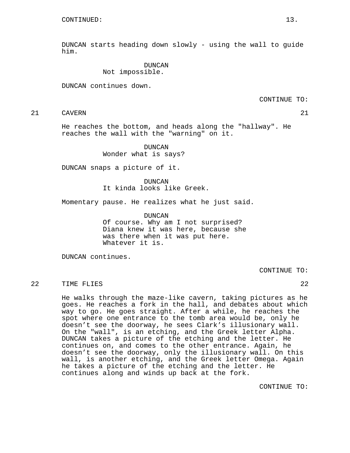DUNCAN starts heading down slowly - using the wall to guide him.

> DUNCAN Not impossible.

DUNCAN continues down.

CONTINUE TO:

# 21 CAVERN 21

He reaches the bottom, and heads along the "hallway". He reaches the wall with the "warning" on it.

> DUNCAN Wonder what is says?

DUNCAN snaps a picture of it.

DUNCAN It kinda looks like Greek.

Momentary pause. He realizes what he just said.

DUNCAN

Of course. Why am I not surprised? Diana knew it was here, because she was there when it was put here. Whatever it is.

DUNCAN continues.

CONTINUE TO:

## 22 TIME FLIES 22

He walks through the maze-like cavern, taking pictures as he goes. He reaches a fork in the hall, and debates about which way to go. He goes straight. After a while, he reaches the spot where one entrance to the tomb area would be, only he doesn't see the doorway, he sees Clark's illusionary wall. On the "wall", is an etching, and the Greek letter Alpha. DUNCAN takes a picture of the etching and the letter. He continues on, and comes to the other entrance. Again, he doesn't see the doorway, only the illusionary wall. On this wall, is another etching, and the Greek letter Omega. Again he takes a picture of the etching and the letter. He continues along and winds up back at the fork.

CONTINUE TO: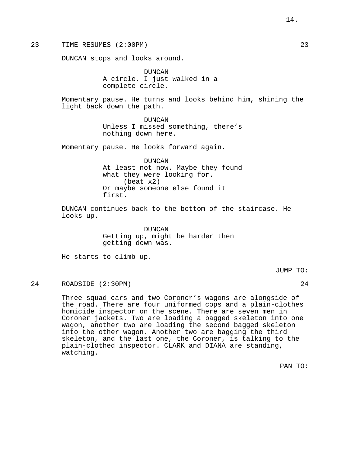23 TIME RESUMES (2:00PM) 23

DUNCAN stops and looks around.

DUNCAN A circle. I just walked in a complete circle.

Momentary pause. He turns and looks behind him, shining the light back down the path.

> DUNCAN Unless I missed something, there's nothing down here.

Momentary pause. He looks forward again.

DUNCAN At least not now. Maybe they found what they were looking for. (beat x2) Or maybe someone else found it first.

DUNCAN continues back to the bottom of the staircase. He looks up.

> DUNCAN Getting up, might be harder then getting down was.

He starts to climb up.

JUMP TO:

24 ROADSIDE (2:30PM) 24

Three squad cars and two Coroner's wagons are alongside of the road. There are four uniformed cops and a plain-clothes homicide inspector on the scene. There are seven men in Coroner jackets. Two are loading a bagged skeleton into one wagon, another two are loading the second bagged skeleton into the other wagon. Another two are bagging the third skeleton, and the last one, the Coroner, is talking to the plain-clothed inspector. CLARK and DIANA are standing, watching.

PAN TO: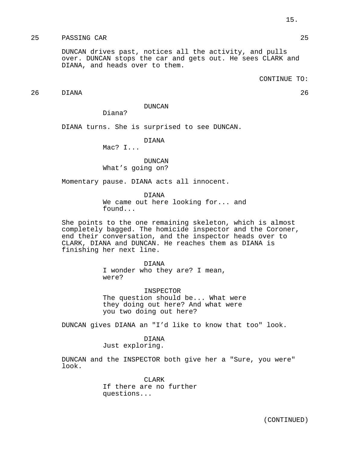# 25 PASSING CAR 25

DUNCAN drives past, notices all the activity, and pulls over. DUNCAN stops the car and gets out. He sees CLARK and DIANA, and heads over to them.

CONTINUE TO:

26 DIANA 26

DUNCAN

Diana?

DIANA turns. She is surprised to see DUNCAN.

DIANA

Mac? I...

DUNCAN What's going on?

Momentary pause. DIANA acts all innocent.

DIANA

We came out here looking for... and found...

She points to the one remaining skeleton, which is almost completely bagged. The homicide inspector and the Coroner, end their conversation, and the inspector heads over to CLARK, DIANA and DUNCAN. He reaches them as DIANA is finishing her next line.

> DIANA I wonder who they are? I mean, were?

INSPECTOR The question should be... What were they doing out here? And what were you two doing out here?

DUNCAN gives DIANA an "I'd like to know that too" look.

DIANA Just exploring.

DUNCAN and the INSPECTOR both give her a "Sure, you were" look.

> CLARK If there are no further questions...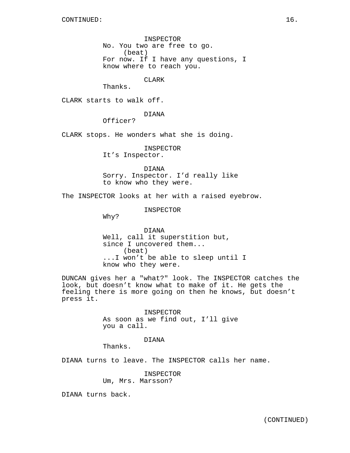INSPECTOR No. You two are free to go. (beat) For now. If I have any questions, I know where to reach you.

## CLARK

Thanks.

CLARK starts to walk off.

DIANA

Officer?

CLARK stops. He wonders what she is doing.

INSPECTOR

It's Inspector.

DIANA Sorry. Inspector. I'd really like to know who they were.

The INSPECTOR looks at her with a raised eyebrow.

INSPECTOR

Why?

DIANA Well, call it superstition but, since I uncovered them... (beat) ...I won't be able to sleep until I know who they were.

DUNCAN gives her a "what?" look. The INSPECTOR catches the look, but doesn't know what to make of it. He gets the feeling there is more going on then he knows, but doesn't press it.

> INSPECTOR As soon as we find out, I'll give you a call.

# DIANA

Thanks.

DIANA turns to leave. The INSPECTOR calls her name.

INSPECTOR

Um, Mrs. Marsson?

DIANA turns back.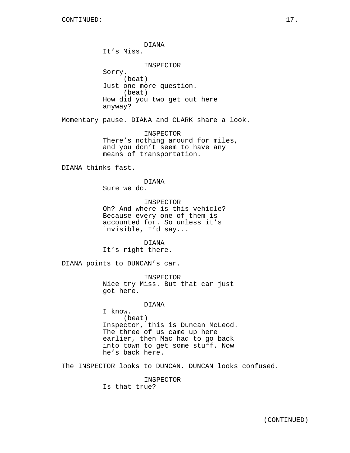DIANA It's Miss. INSPECTOR Sorry. (beat) Just one more question. (beat) How did you two get out here anyway? Momentary pause. DIANA and CLARK share a look. INSPECTOR There's nothing around for miles, and you don't seem to have any means of transportation. DIANA thinks fast. DIANA Sure we do. INSPECTOR Oh? And where is this vehicle? Because every one of them is accounted for. So unless it's invisible, I'd say... DIANA It's right there. DIANA points to DUNCAN's car. INSPECTOR Nice try Miss. But that car just got here. DIANA I know. (beat) Inspector, this is Duncan McLeod. The three of us came up here earlier, then Mac had to go back into town to get some stuff. Now he's back here. The INSPECTOR looks to DUNCAN. DUNCAN looks confused. INSPECTOR Is that true?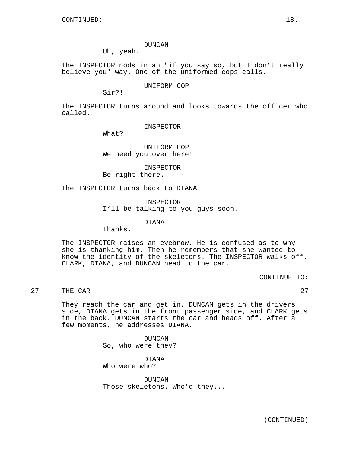### DUNCAN

Uh, yeah.

The INSPECTOR nods in an "if you say so, but I don't really believe you" way. One of the uniformed cops calls.

UNIFORM COP

Sir?!

The INSPECTOR turns around and looks towards the officer who called.

INSPECTOR

What?

UNIFORM COP We need you over here!

INSPECTOR

Be right there.

The INSPECTOR turns back to DIANA.

INSPECTOR I'll be talking to you guys soon.

DIANA

Thanks.

The INSPECTOR raises an eyebrow. He is confused as to why she is thanking him. Then he remembers that she wanted to know the identity of the skeletons. The INSPECTOR walks off. CLARK, DIANA, and DUNCAN head to the car.

CONTINUE TO:

27 THE CAR 27

They reach the car and get in. DUNCAN gets in the drivers side, DIANA gets in the front passenger side, and CLARK gets in the back. DUNCAN starts the car and heads off. After a few moments, he addresses DIANA.

> DUNCAN So, who were they?

DIANA Who were who?

DUNCAN Those skeletons. Who'd they...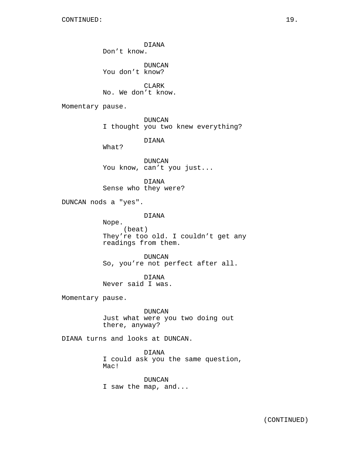DIANA Don't know.

DUNCAN You don't know?

CLARK No. We don't know.

Momentary pause.

DUNCAN I thought you two knew everything?

DIANA

What?

DUNCAN You know, can't you just...

DIANA Sense who they were?

DUNCAN nods a "yes".

DIANA

Nope. (beat) They're too old. I couldn't get any readings from them.

DUNCAN So, you're not perfect after all.

DIANA Never said I was.

Momentary pause.

DUNCAN Just what were you two doing out there, anyway?

DIANA turns and looks at DUNCAN.

DIANA I could ask you the same question, Mac!

DUNCAN I saw the map, and...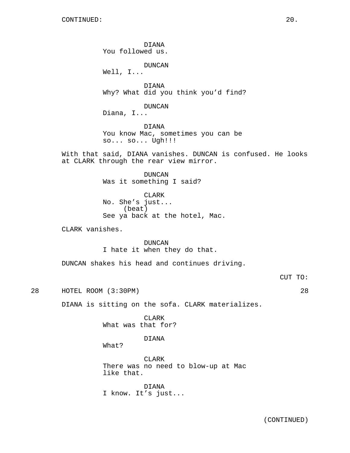DIANA You followed us. DUNCAN Well, I... DIANA Why? What did you think you'd find? DUNCAN Diana, I... DIANA You know Mac, sometimes you can be so... so... Ugh!!! With that said, DIANA vanishes. DUNCAN is confused. He looks at CLARK through the rear view mirror. DUNCAN Was it something I said? CLARK No. She's just... (beat) See ya back at the hotel, Mac. CLARK vanishes. DUNCAN I hate it when they do that. DUNCAN shakes his head and continues driving.

CUT TO:

28 HOTEL ROOM (3:30PM) 28

DIANA is sitting on the sofa. CLARK materializes.

CLARK What was that for?

DIANA

What?

CLARK There was no need to blow-up at Mac like that.

DIANA I know. It's just...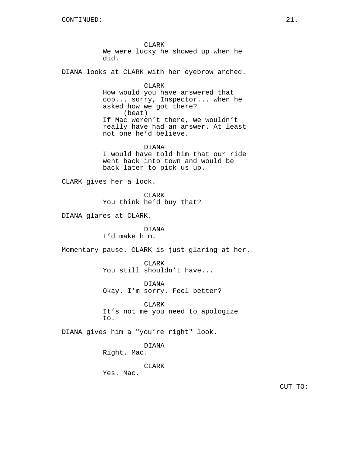CLARK We were lucky he showed up when he did.

DIANA looks at CLARK with her eyebrow arched.

CLARK How would you have answered that cop... sorry, Inspector... when he asked how we got there? (beat) If Mac weren't there, we wouldn't really have had an answer. At least not one he'd believe.

DIANA I would have told him that our ride went back into town and would be back later to pick us up.

CLARK gives her a look.

CLARK You think he'd buy that?

DIANA glares at CLARK.

DIANA I'd make him.

Momentary pause. CLARK is just glaring at her.

CLARK You still shouldn't have...

DIANA Okay. I'm sorry. Feel better?

CLARK It's not me you need to apologize to.

DIANA gives him a "you're right" look.

DIANA

Right. Mac.

CLARK

Yes. Mac.

CUT TO: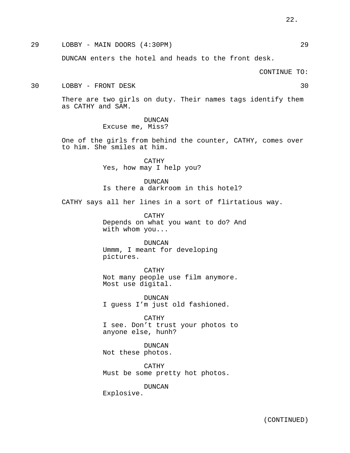# 29 LOBBY - MAIN DOORS (4:30PM) 29

DUNCAN enters the hotel and heads to the front desk.

CONTINUE TO:

30 LOBBY - FRONT DESK 30

There are two girls on duty. Their names tags identify them as CATHY and SAM.

> DUNCAN Excuse me, Miss?

One of the girls from behind the counter, CATHY, comes over to him. She smiles at him.

> CATHY Yes, how may I help you?

DUNCAN Is there a darkroom in this hotel?

CATHY says all her lines in a sort of flirtatious way.

CATHY Depends on what you want to do? And with whom you...

DUNCAN Ummm, I meant for developing pictures.

CATHY Not many people use film anymore. Most use digital.

DUNCAN I guess I'm just old fashioned.

CATHY I see. Don't trust your photos to anyone else, hunh?

DUNCAN Not these photos.

CATHY Must be some pretty hot photos.

DUNCAN

Explosive.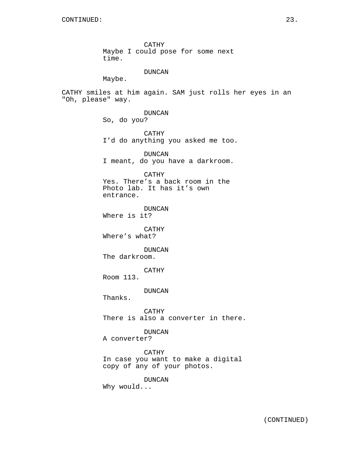## DUNCAN

Maybe.

CATHY smiles at him again. SAM just rolls her eyes in an "Oh, please" way.

> DUNCAN So, do you?

CATHY I'd do anything you asked me too.

DUNCAN I meant, do you have a darkroom.

CATHY Yes. There's a back room in the Photo lab. It has it's own entrance.

DUNCAN Where is it?

CATHY Where's what?

DUNCAN The darkroom.

CATHY

Room 113.

DUNCAN

Thanks.

CATHY There is also a converter in there.

DUNCAN

A converter?

CATHY In case you want to make a digital copy of any of your photos.

DUNCAN

Why would...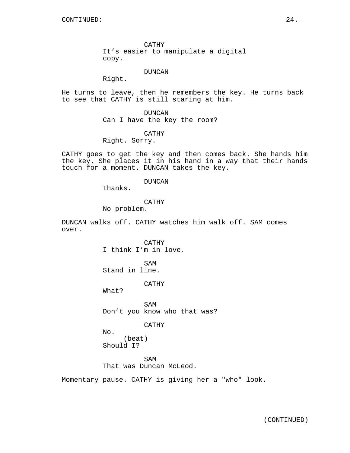CATHY It's easier to manipulate a digital copy.

#### DUNCAN

Right.

He turns to leave, then he remembers the key. He turns back to see that CATHY is still staring at him.

> DUNCAN Can I have the key the room?

#### CATHY

Right. Sorry.

CATHY goes to get the key and then comes back. She hands him the key. She places it in his hand in a way that their hands touch for a moment. DUNCAN takes the key.

## DUNCAN

Thanks.

### CATHY

No problem.

DUNCAN walks off. CATHY watches him walk off. SAM comes over.

> CATHY I think I'm in love.

SAM Stand in line.

CATHY

What?

SAM Don't you know who that was?

### CATHY

No. (beat) Should I?

SAM That was Duncan McLeod.

Momentary pause. CATHY is giving her a "who" look.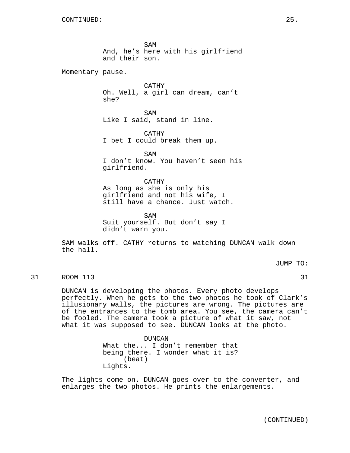SAM And, he's here with his girlfriend and their son. Momentary pause. CATHY Oh. Well, a girl can dream, can't she? SAM Like I said, stand in line. CATHY I bet I could break them up. SAM I don't know. You haven't seen his girlfriend. CATHY As long as she is only his girlfriend and not his wife, I still have a chance. Just watch. SAM Suit yourself. But don't say I didn't warn you.

SAM walks off. CATHY returns to watching DUNCAN walk down the hall.

JUMP TO:

# 31 ROOM 113 31 ROOM 31

DUNCAN is developing the photos. Every photo develops perfectly. When he gets to the two photos he took of Clark's illusionary walls, the pictures are wrong. The pictures are of the entrances to the tomb area. You see, the camera can't be fooled. The camera took a picture of what it saw, not what it was supposed to see. DUNCAN looks at the photo.

> DUNCAN What the... I don't remember that being there. I wonder what it is? (beat) Lights.

The lights come on. DUNCAN goes over to the converter, and enlarges the two photos. He prints the enlargements.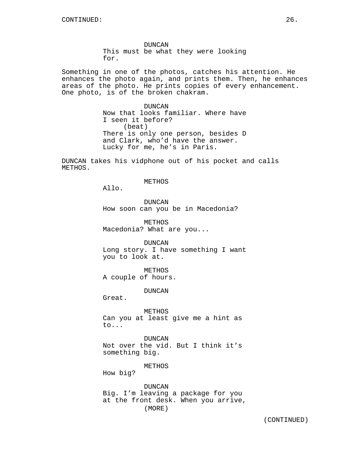DUNCAN This must be what they were looking for.

Something in one of the photos, catches his attention. He enhances the photo again, and prints them. Then, he enhances areas of the photo. He prints copies of every enhancement. One photo, is of the broken chakram.

> DUNCAN Now that looks familiar. Where have I seen it before? (beat) There is only one person, besides D and Clark, who'd have the answer. Lucky for me, he's in Paris.

DUNCAN takes his vidphone out of his pocket and calls METHOS.

#### METHOS

Allo.

DUNCAN How soon can you be in Macedonia?

METHOS Macedonia? What are you...

DUNCAN Long story. I have something I want you to look at.

METHOS A couple of hours.

DUNCAN

Great.

METHOS Can you at least give me a hint as to...

DUNCAN Not over the vid. But I think it's something big.

METHOS

How big?

DUNCAN Big. I'm leaving a package for you at the front desk. When you arrive, (MORE)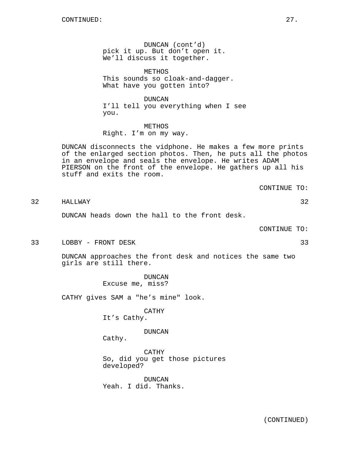DUNCAN (cont'd) pick it up. But don't open it. We'll discuss it together.

METHOS This sounds so cloak-and-dagger. What have you gotten into?

DUNCAN I'll tell you everything when I see you.

METHOS Right. I'm on my way.

DUNCAN disconnects the vidphone. He makes a few more prints of the enlarged section photos. Then, he puts all the photos in an envelope and seals the envelope. He writes ADAM PIERSON on the front of the envelope. He gathers up all his stuff and exits the room.

CONTINUE TO:

32 HALLWAY 32

DUNCAN heads down the hall to the front desk.

CONTINUE TO:

33 LOBBY - FRONT DESK 33

DUNCAN approaches the front desk and notices the same two girls are still there.

> DUNCAN Excuse me, miss?

CATHY gives SAM a "he's mine" look.

CATHY

It's Cathy.

## DUNCAN

Cathy.

CATHY So, did you get those pictures developed?

DUNCAN Yeah. I did. Thanks.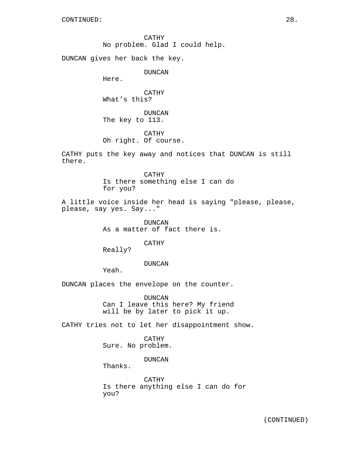CATHY No problem. Glad I could help.

DUNCAN gives her back the key.

DUNCAN

Here.

CATHY What's this?

DUNCAN The key to 113.

CATHY Oh right. Of course.

CATHY puts the key away and notices that DUNCAN is still there.

> CATHY Is there something else I can do for you?

A little voice inside her head is saying "please, please, please, say yes. Say..."

> DUNCAN As a matter of fact there is.

> > CATHY

Really?

DUNCAN

Yeah.

DUNCAN places the envelope on the counter.

DUNCAN Can I leave this here? My friend will be by later to pick it up.

CATHY tries not to let her disappointment show.

CATHY Sure. No problem.

DUNCAN

Thanks.

CATHY Is there anything else I can do for you?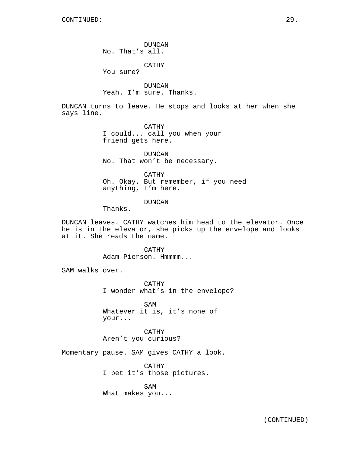DUNCAN No. That's all.

CATHY

You sure?

DUNCAN Yeah. I'm sure. Thanks.

DUNCAN turns to leave. He stops and looks at her when she says line.

> CATHY I could... call you when your friend gets here.

DUNCAN No. That won't be necessary.

CATHY Oh. Okay. But remember, if you need anything, I'm here.

### DUNCAN

Thanks.

DUNCAN leaves. CATHY watches him head to the elevator. Once he is in the elevator, she picks up the envelope and looks at it. She reads the name.

> CATHY Adam Pierson. Hmmmm...

SAM walks over.

CATHY I wonder what's in the envelope?

SAM Whatever it is, it's none of your...

CATHY Aren't you curious?

Momentary pause. SAM gives CATHY a look.

CATHY I bet it's those pictures.

SAM What makes you...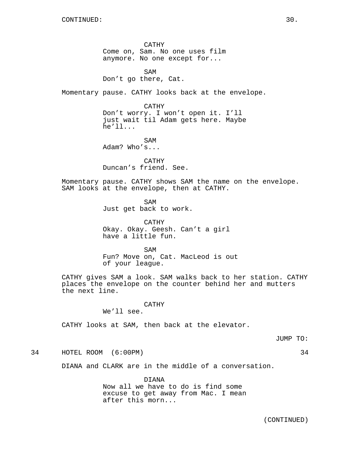CATHY Come on, Sam. No one uses film anymore. No one except for...

SAM Don't go there, Cat.

Momentary pause. CATHY looks back at the envelope.

CATHY Don't worry. I won't open it. I'll just wait til Adam gets here. Maybe he'll...

SAM Adam? Who's...

CATHY Duncan's friend. See.

Momentary pause. CATHY shows SAM the name on the envelope. SAM looks at the envelope, then at CATHY.

> SAM Just get back to work.

CATHY Okay. Okay. Geesh. Can't a girl have a little fun.

**SAM** Fun? Move on, Cat. MacLeod is out of your league.

CATHY gives SAM a look. SAM walks back to her station. CATHY places the envelope on the counter behind her and mutters the next line.

### CATHY

We'll see.

CATHY looks at SAM, then back at the elevator.

JUMP TO:

34 HOTEL ROOM (6:00PM) 34

DIANA and CLARK are in the middle of a conversation.

DIANA Now all we have to do is find some excuse to get away from Mac. I mean after this morn...

(CONTINUED)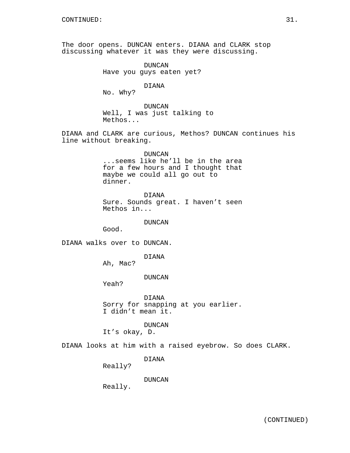The door opens. DUNCAN enters. DIANA and CLARK stop discussing whatever it was they were discussing.

> DUNCAN Have you guys eaten yet?

> > DIANA

No. Why?

DUNCAN Well, I was just talking to Methos...

DIANA and CLARK are curious, Methos? DUNCAN continues his line without breaking.

> DUNCAN ...seems like he'll be in the area for a few hours and I thought that maybe we could all go out to dinner.

> DIANA Sure. Sounds great. I haven't seen Methos in...

> > DUNCAN

Good.

DIANA walks over to DUNCAN.

DIANA

Ah, Mac?

DUNCAN

Yeah?

DIANA Sorry for snapping at you earlier. I didn't mean it.

DUNCAN

It's okay, D.

DIANA looks at him with a raised eyebrow. So does CLARK.

DIANA

Really?

DUNCAN

Really.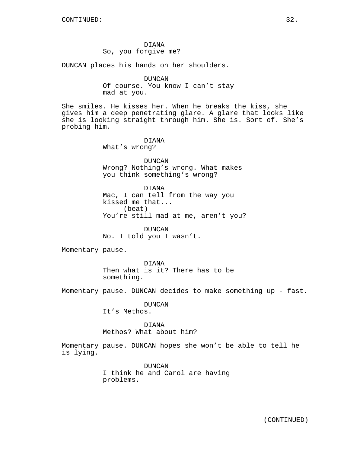### DIANA So, you forgive me?

DUNCAN places his hands on her shoulders.

DUNCAN Of course. You know I can't stay mad at you.

She smiles. He kisses her. When he breaks the kiss, she gives him a deep penetrating glare. A glare that looks like she is looking straight through him. She is. Sort of. She's probing him.

> DIANA What's wrong?

DUNCAN Wrong? Nothing's wrong. What makes you think something's wrong?

DIANA Mac, I can tell from the way you kissed me that... (beat) You're still mad at me, aren't you?

DUNCAN No. I told you I wasn't.

Momentary pause.

DIANA Then what is it? There has to be something.

Momentary pause. DUNCAN decides to make something up - fast.

DUNCAN

It's Methos.

# DIANA

Methos? What about him?

Momentary pause. DUNCAN hopes she won't be able to tell he is lying.

> DUNCAN I think he and Carol are having problems.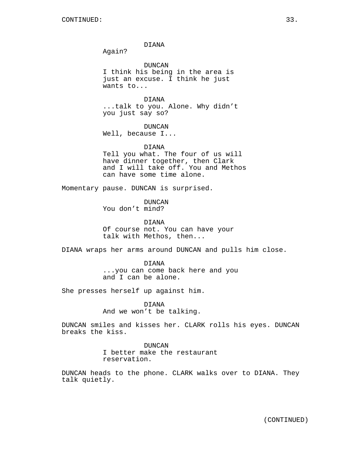DIANA

Again?

DUNCAN I think his being in the area is just an excuse. I think he just wants to...

DIANA ...talk to you. Alone. Why didn't you just say so?

DUNCAN Well, because I...

DIANA

Tell you what. The four of us will have dinner together, then Clark and I will take off. You and Methos can have some time alone.

Momentary pause. DUNCAN is surprised.

DUNCAN You don't mind?

DIANA Of course not. You can have your talk with Methos, then...

DIANA wraps her arms around DUNCAN and pulls him close.

DIANA ...you can come back here and you and I can be alone.

She presses herself up against him.

DIANA And we won't be talking.

DUNCAN smiles and kisses her. CLARK rolls his eyes. DUNCAN breaks the kiss.

> DUNCAN I better make the restaurant reservation.

DUNCAN heads to the phone. CLARK walks over to DIANA. They talk quietly.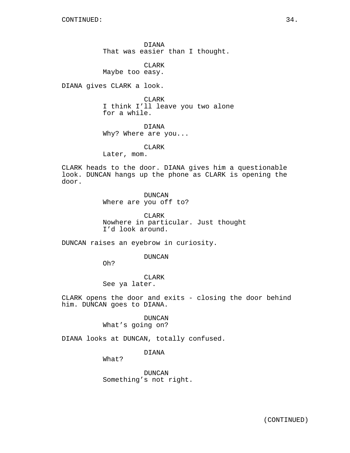DIANA That was easier than I thought.

CLARK Maybe too easy.

DIANA gives CLARK a look.

CLARK I think I'll leave you two alone for a while.

DIANA Why? Where are you...

CLARK

Later, mom.

CLARK heads to the door. DIANA gives him a questionable look. DUNCAN hangs up the phone as CLARK is opening the door.

DUNCAN

Where are you off to?

CLARK Nowhere in particular. Just thought I'd look around.

DUNCAN raises an eyebrow in curiosity.

DUNCAN

Oh?

## CLARK See ya later.

CLARK opens the door and exits - closing the door behind him. DUNCAN goes to DIANA.

> DUNCAN What's going on?

DIANA looks at DUNCAN, totally confused.

DIANA

What?

DUNCAN Something's not right.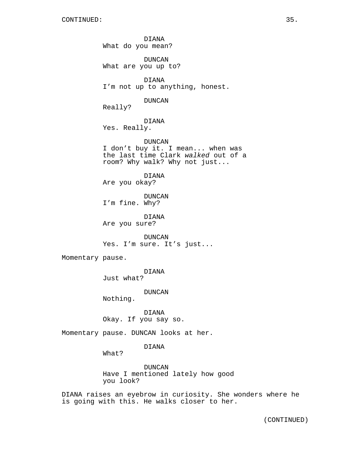DIANA What do you mean?

DUNCAN What are you up to?

DIANA I'm not up to anything, honest.

DUNCAN

Really?

DIANA

Yes. Really.

DUNCAN I don't buy it. I mean... when was the last time Clark walked out of a room? Why walk? Why not just...

DIANA Are you okay?

DUNCAN I'm fine. Why?

DIANA Are you sure?

DUNCAN Yes. I'm sure. It's just...

Momentary pause.

DIANA

Just what?

DUNCAN

Nothing.

DIANA Okay. If you say so.

Momentary pause. DUNCAN looks at her.

DIANA

What?

DUNCAN Have I mentioned lately how good you look?

DIANA raises an eyebrow in curiosity. She wonders where he is going with this. He walks closer to her.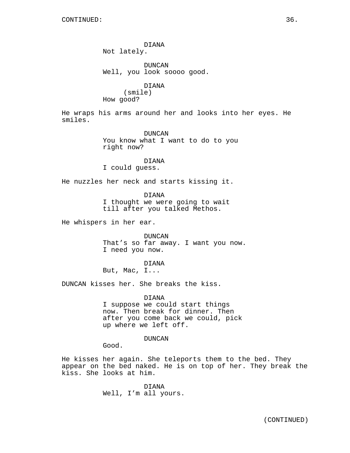DIANA Not lately.

DUNCAN Well, you look soooo good.

DIANA

(smile) How good?

He wraps his arms around her and looks into her eyes. He smiles.

> DUNCAN You know what I want to do to you right now?

DIANA I could guess.

He nuzzles her neck and starts kissing it.

DIANA

I thought we were going to wait till after you talked Methos.

He whispers in her ear.

DUNCAN That's so far away. I want you now. I need you now.

DIANA But, Mac, I...

DUNCAN kisses her. She breaks the kiss.

DIANA I suppose we could start things now. Then break for dinner. Then after you come back we could, pick up where we left off.

DUNCAN

Good.

He kisses her again. She teleports them to the bed. They appear on the bed naked. He is on top of her. They break the kiss. She looks at him.

> DIANA Well, I'm all yours.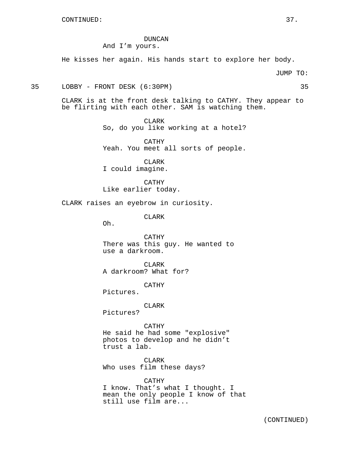# DUNCAN And I'm yours.

He kisses her again. His hands start to explore her body.

35 LOBBY - FRONT DESK (6:30PM) 35

CLARK is at the front desk talking to CATHY. They appear to be flirting with each other. SAM is watching them.

> CLARK So, do you like working at a hotel?

> CATHY Yeah. You meet all sorts of people.

CLARK I could imagine.

CATHY Like earlier today.

CLARK raises an eyebrow in curiosity.

CLARK

Oh.

CATHY There was this guy. He wanted to use a darkroom.

CLARK A darkroom? What for?

CATHY

Pictures.

### CLARK

Pictures?

CATHY He said he had some "explosive" photos to develop and he didn't trust a lab.

CLARK Who uses film these days?

# CATHY

I know. That's what I thought. I mean the only people I know of that still use film are...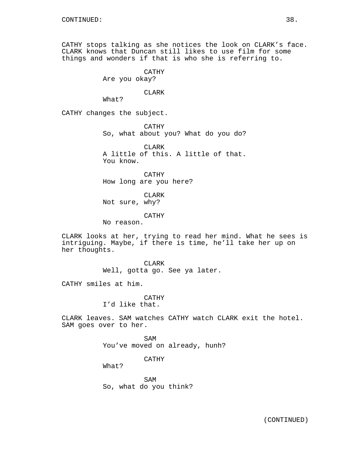CATHY stops talking as she notices the look on CLARK's face. CLARK knows that Duncan still likes to use film for some things and wonders if that is who she is referring to.

> CATHY Are you okay?

# CLARK

What?

CATHY changes the subject.

CATHY So, what about you? What do you do?

CLARK A little of this. A little of that. You know.

CATHY How long are you here?

**CLARK** Not sure, why?

CATHY

No reason.

CLARK looks at her, trying to read her mind. What he sees is intriguing. Maybe, if there is time, he'll take her up on her thoughts.

> CLARK Well, gotta go. See ya later.

CATHY smiles at him.

CATHY I'd like that.

CLARK leaves. SAM watches CATHY watch CLARK exit the hotel. SAM goes over to her.

> SAM You've moved on already, hunh?

> > CATHY

What?

SAM So, what do you think?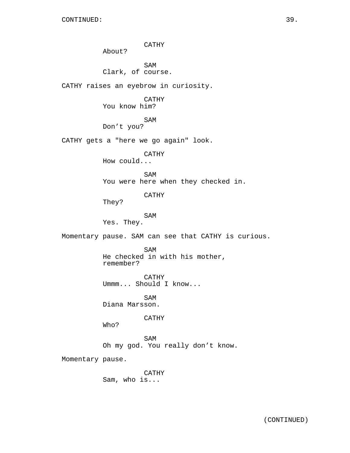CATHY About? SAM Clark, of course. CATHY raises an eyebrow in curiosity. CATHY You know him? SAM Don't you? CATHY gets a "here we go again" look. CATHY How could... SAM You were here when they checked in. CATHY They? SAM Yes. They. Momentary pause. SAM can see that CATHY is curious. SAM He checked in with his mother, remember? CATHY Ummm... Should I know... SAM Diana Marsson. CATHY Who? SAM Oh my god. You really don't know. Momentary pause. CATHY Sam, who is...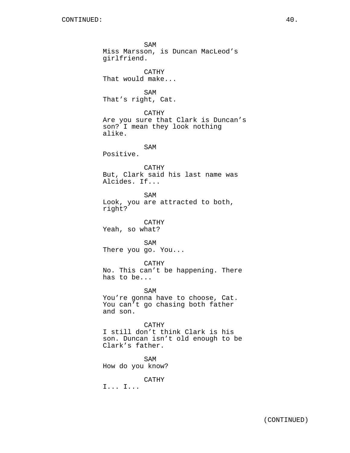SAM Miss Marsson, is Duncan MacLeod's girlfriend. CATHY That would make... SAM That's right, Cat. CATHY Are you sure that Clark is Duncan's son? I mean they look nothing alike. SAM Positive. CATHY But, Clark said his last name was Alcides. If... SAM Look, you are attracted to both, right? CATHY Yeah, so what? SAM There you go. You... CATHY No. This can't be happening. There has to be... SAM You're gonna have to choose, Cat. You can't go chasing both father and son. CATHY I still don't think Clark is his son. Duncan isn't old enough to be Clark's father. SAM How do you know? CATHY I... I...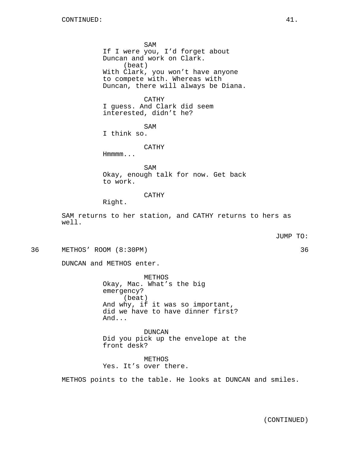SAM If I were you, I'd forget about Duncan and work on Clark. (beat) With Clark, you won't have anyone to compete with. Whereas with Duncan, there will always be Diana.

CATHY I guess. And Clark did seem interested, didn't he?

SAM I think so.

CATHY

Hmmmm...

SAM Okay, enough talk for now. Get back to work.

# CATHY

Right.

SAM returns to her station, and CATHY returns to hers as well.

### JUMP TO:

36 METHOS' ROOM (8:30PM) 36

DUNCAN and METHOS enter.

METHOS Okay, Mac. What's the big emergency? (beat) And why, if it was so important, did we have to have dinner first? And...

DUNCAN Did you pick up the envelope at the front desk?

METHOS Yes. It's over there.

METHOS points to the table. He looks at DUNCAN and smiles.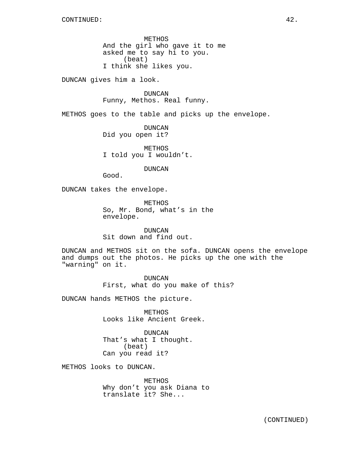METHOS And the girl who gave it to me asked me to say hi to you. (beat) I think she likes you.

DUNCAN gives him a look.

DUNCAN Funny, Methos. Real funny.

METHOS goes to the table and picks up the envelope.

DUNCAN Did you open it?

METHOS I told you I wouldn't.

DUNCAN

Good.

DUNCAN takes the envelope.

METHOS So, Mr. Bond, what's in the envelope.

DUNCAN Sit down and find out.

DUNCAN and METHOS sit on the sofa. DUNCAN opens the envelope and dumps out the photos. He picks up the one with the "warning" on it.

> DUNCAN First, what do you make of this?

DUNCAN hands METHOS the picture.

METHOS Looks like Ancient Greek.

DUNCAN That's what I thought. (beat) Can you read it?

METHOS looks to DUNCAN.

METHOS Why don't you ask Diana to translate it? She...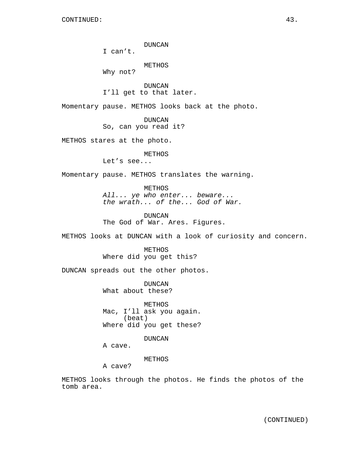DUNCAN

I can't.

METHOS

Why not?

DUNCAN I'll get to that later.

Momentary pause. METHOS looks back at the photo.

DUNCAN

So, can you read it?

METHOS stares at the photo.

METHOS

Let's see...

Momentary pause. METHOS translates the warning.

METHOS All... ye who enter... beware... the wrath... of the... God of War.

DUNCAN The God of War. Ares. Figures.

METHOS looks at DUNCAN with a look of curiosity and concern.

**METHOS** Where did you get this?

DUNCAN spreads out the other photos.

DUNCAN What about these?

METHOS Mac, I'll ask you again. (beat) Where did you get these?

DUNCAN

A cave.

METHOS

A cave?

METHOS looks through the photos. He finds the photos of the tomb area.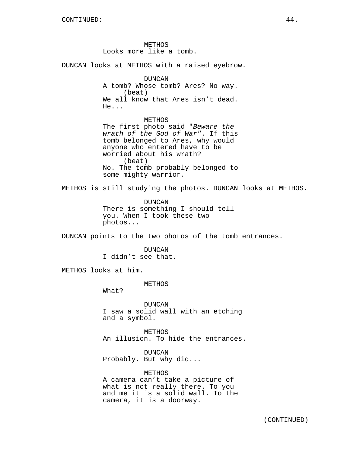METHOS Looks more like a tomb. DUNCAN looks at METHOS with a raised eyebrow. DUNCAN A tomb? Whose tomb? Ares? No way. (beat) We all know that Ares isn't dead. He... METHOS The first photo said "Beware the wrath of the God of War". If this tomb belonged to Ares, why would anyone who entered have to be worried about his wrath? (beat) No. The tomb probably belonged to some mighty warrior. METHOS is still studying the photos. DUNCAN looks at METHOS. DUNCAN There is something I should tell you. When I took these two photos... DUNCAN points to the two photos of the tomb entrances. DUNCAN I didn't see that. METHOS looks at him. METHOS What? DUNCAN I saw a solid wall with an etching and a symbol. METHOS An illusion. To hide the entrances.

> DUNCAN Probably. But why did...

METHOS A camera can't take a picture of what is not really there. To you and me it is a solid wall. To the camera, it is a doorway.

(CONTINUED)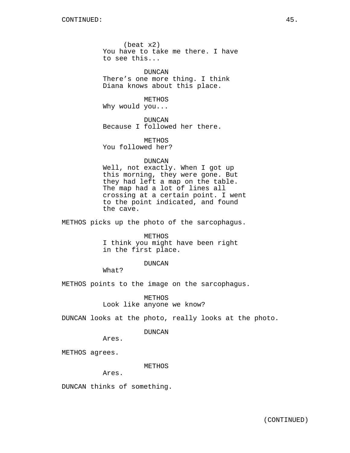(beat x2) You have to take me there. I have to see this...

DUNCAN There's one more thing. I think Diana knows about this place.

METHOS Why would you...

DUNCAN Because I followed her there.

**METHOS** You followed her?

### DUNCAN

Well, not exactly. When I got up this morning, they were gone. But they had left a map on the table. The map had a lot of lines all crossing at a certain point. I went to the point indicated, and found the cave.

METHOS picks up the photo of the sarcophagus.

#### METHOS

I think you might have been right in the first place.

### DUNCAN

What?

METHOS points to the image on the sarcophagus.

METHOS Look like anyone we know?

DUNCAN looks at the photo, really looks at the photo.

# DUNCAN

Ares.

METHOS agrees.

METHOS

Ares.

DUNCAN thinks of something.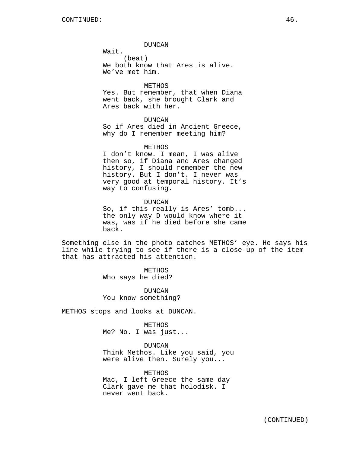DUNCAN

Wait.

(beat) We both know that Ares is alive. We've met him.

METHOS

Yes. But remember, that when Diana went back, she brought Clark and Ares back with her.

# DUNCAN

So if Ares died in Ancient Greece, why do I remember meeting him?

# METHOS

I don't know. I mean, I was alive then so, if Diana and Ares changed history, I should remember the new history. But I don't. I never was very good at temporal history. It's way to confusing.

DUNCAN So, if this really is Ares' tomb... the only way D would know where it was, was if he died before she came back.

Something else in the photo catches METHOS' eye. He says his line while trying to see if there is a close-up of the item that has attracted his attention.

> METHOS Who says he died?

DUNCAN You know something?

METHOS stops and looks at DUNCAN.

#### METHOS

Me? No. I was just...

# DUNCAN

Think Methos. Like you said, you were alive then. Surely you...

METHOS Mac, I left Greece the same day Clark gave me that holodisk. I never went back.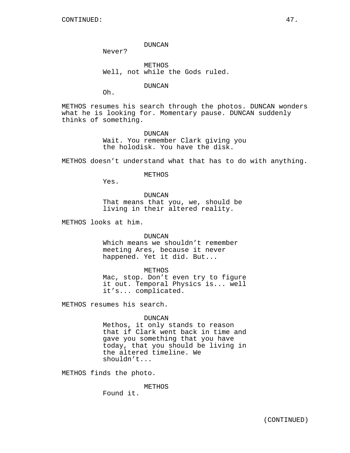DUNCAN

Never?

**METHOS** Well, not while the Gods ruled.

DUNCAN

Oh.

METHOS resumes his search through the photos. DUNCAN wonders what he is looking for. Momentary pause. DUNCAN suddenly thinks of something.

> DUNCAN Wait. You remember Clark giving you the holodisk. You have the disk.

METHOS doesn't understand what that has to do with anything.

# METHOS

Yes.

DUNCAN That means that you, we, should be living in their altered reality.

METHOS looks at him.

DUNCAN

Which means we shouldn't remember meeting Ares, because it never happened. Yet it did. But...

METHOS

Mac, stop. Don't even try to figure it out. Temporal Physics is... well it's... complicated.

METHOS resumes his search.

DUNCAN

Methos, it only stands to reason that if Clark went back in time and gave you something that you have today, that you should be living in the altered timeline. We shouldn't...

METHOS finds the photo.

METHOS

Found it.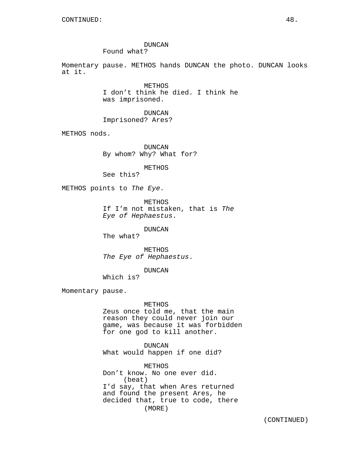DUNCAN Found what?

Momentary pause. METHOS hands DUNCAN the photo. DUNCAN looks at it.

> METHOS I don't think he died. I think he was imprisoned.

DUNCAN Imprisoned? Ares?

METHOS nods.

DUNCAN By whom? Why? What for?

METHOS

See this?

METHOS points to The Eye.

METHOS If I'm not mistaken, that is The Eye of Hephaestus.

DUNCAN

The what?

METHOS The Eye of Hephaestus.

DUNCAN

Which is?

Momentary pause.

#### METHOS

Zeus once told me, that the main reason they could never join our game, was because it was forbidden for one god to kill another.

# DUNCAN

What would happen if one did?

METHOS Don't know. No one ever did. (beat) I'd say, that when Ares returned and found the present Ares, he decided that, true to code, there (MORE)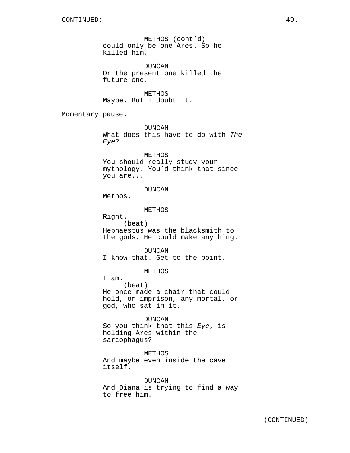METHOS (cont'd) could only be one Ares. So he killed him. DUNCAN Or the present one killed the future one. METHOS Maybe. But I doubt it. Momentary pause. DUNCAN What does this have to do with The Eye? METHOS You should really study your mythology. You'd think that since you are... DUNCAN Methos. METHOS Right. (beat) Hephaestus was the blacksmith to the gods. He could make anything. DUNCAN I know that. Get to the point. METHOS I am. (beat) He once made a chair that could hold, or imprison, any mortal, or god, who sat in it. DUNCAN So you think that this Eye, is holding Ares within the sarcophagus? METHOS And maybe even inside the cave itself.

> DUNCAN And Diana is trying to find a way to free him.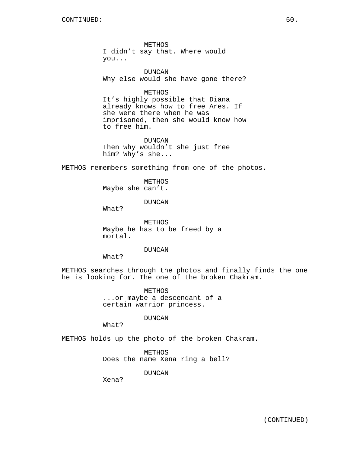METHOS I didn't say that. Where would you...

DUNCAN Why else would she have gone there?

METHOS It's highly possible that Diana already knows how to free Ares. If she were there when he was imprisoned, then she would know how to free him.

DUNCAN Then why wouldn't she just free him? Why's she...

METHOS remembers something from one of the photos.

METHOS Maybe she can't.

#### DUNCAN

What?

METHOS Maybe he has to be freed by a mortal.

# DUNCAN

What?

METHOS searches through the photos and finally finds the one he is looking for. The one of the broken Chakram.

> METHOS ...or maybe a descendant of a certain warrior princess.

#### DUNCAN

What?

METHOS holds up the photo of the broken Chakram.

METHOS Does the name Xena ring a bell?

DUNCAN

Xena?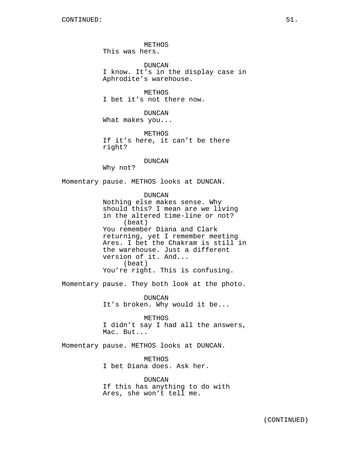METHOS This was hers.

DUNCAN I know. It's in the display case in Aphrodite's warehouse.

METHOS I bet it's not there now.

DUNCAN What makes you...

METHOS If it's here, it can't be there right?

DUNCAN

Why not?

Momentary pause. METHOS looks at DUNCAN.

DUNCAN Nothing else makes sense. Why should this? I mean are we living in the altered time-line or not? (beat) You remember Diana and Clark returning, yet I remember meeting Ares. I bet the Chakram is still in the warehouse. Just a different version of it. And... (beat) You're right. This is confusing.

Momentary pause. They both look at the photo.

DUNCAN It's broken. Why would it be...

METHOS I didn't say I had all the answers, Mac. But...

Momentary pause. METHOS looks at DUNCAN.

METHOS I bet Diana does. Ask her.

DUNCAN If this has anything to do with Ares, she won't tell me.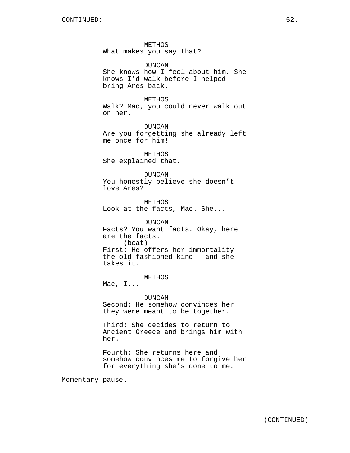METHOS What makes you say that?

DUNCAN She knows how I feel about him. She knows I'd walk before I helped bring Ares back.

# METHOS

Walk? Mac, you could never walk out on her.

DUNCAN Are you forgetting she already left me once for him!

METHOS She explained that.

# DUNCAN

You honestly believe she doesn't love Ares?

METHOS Look at the facts, Mac. She...

DUNCAN Facts? You want facts. Okay, here are the facts. (beat) First: He offers her immortality the old fashioned kind - and she takes it.

METHOS

Mac, I...

DUNCAN Second: He somehow convinces her they were meant to be together.

Third: She decides to return to Ancient Greece and brings him with her.

Fourth: She returns here and somehow convinces me to forgive her for everything she's done to me.

Momentary pause.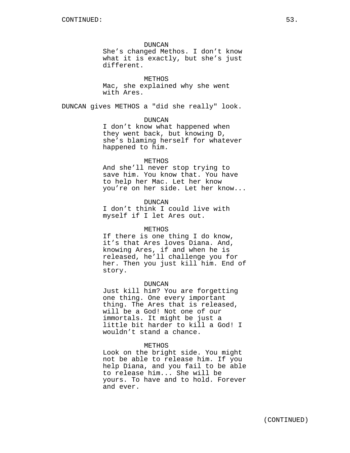DUNCAN

She's changed Methos. I don't know what it is exactly, but she's just different.

METHOS Mac, she explained why she went with Ares.

DUNCAN gives METHOS a "did she really" look.

### DUNCAN

I don't know what happened when they went back, but knowing D, she's blaming herself for whatever happened to him.

#### METHOS

And she'll never stop trying to save him. You know that. You have to help her Mac. Let her know you're on her side. Let her know...

DUNCAN

I don't think I could live with myself if I let Ares out.

### METHOS

If there is one thing I do know, it's that Ares loves Diana. And, knowing Ares, if and when he is released, he'll challenge you for her. Then you just kill him. End of story.

#### DUNCAN

Just kill him? You are forgetting one thing. One every important thing. The Ares that is released, will be a God! Not one of our immortals. It might be just a little bit harder to kill a God! I wouldn't stand a chance.

## METHOS

Look on the bright side. You might not be able to release him. If you help Diana, and you fail to be able to release him... She will be yours. To have and to hold. Forever and ever.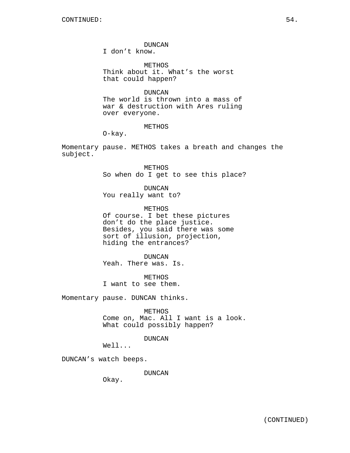DUNCAN

I don't know.

METHOS Think about it. What's the worst that could happen?

DUNCAN

The world is thrown into a mass of war & destruction with Ares ruling over everyone.

METHOS

O-kay.

Momentary pause. METHOS takes a breath and changes the subject.

> METHOS So when do I get to see this place?

DUNCAN You really want to?

METHOS Of course. I bet these pictures don't do the place justice. Besides, you said there was some sort of illusion, projection, hiding the entrances?

DUNCAN Yeah. There was. Is.

METHOS I want to see them.

Momentary pause. DUNCAN thinks.

METHOS Come on, Mac. All I want is a look. What could possibly happen?

DUNCAN

Well...

DUNCAN's watch beeps.

DUNCAN

Okay.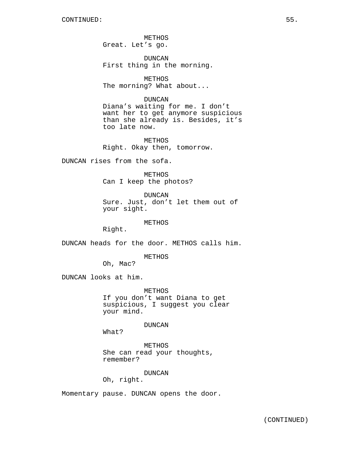METHOS Great. Let's go.

DUNCAN First thing in the morning.

METHOS The morning? What about...

DUNCAN

Diana's waiting for me. I don't want her to get anymore suspicious than she already is. Besides, it's too late now.

METHOS Right. Okay then, tomorrow.

DUNCAN rises from the sofa.

METHOS Can I keep the photos?

DUNCAN Sure. Just, don't let them out of your sight.

METHOS

Right.

DUNCAN heads for the door. METHOS calls him.

METHOS

Oh, Mac?

DUNCAN looks at him.

METHOS If you don't want Diana to get suspicious, I suggest you clear your mind.

DUNCAN

What?

METHOS She can read your thoughts, remember?

DUNCAN

Oh, right.

Momentary pause. DUNCAN opens the door.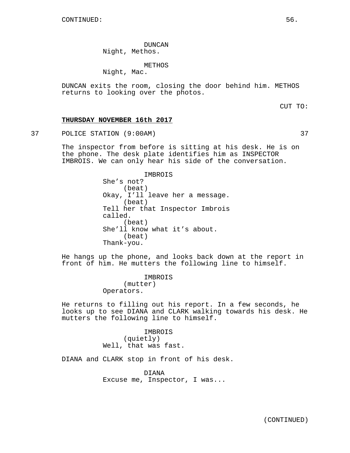DUNCAN Night, Methos.

METHOS

Night, Mac.

DUNCAN exits the room, closing the door behind him. METHOS returns to looking over the photos.

CUT TO:

# **THURSDAY NOVEMBER 16th 2017**

37 POLICE STATION (9:00AM) 37

The inspector from before is sitting at his desk. He is on the phone. The desk plate identifies him as INSPECTOR IMBROIS. We can only hear his side of the conversation.

> IMBROIS She's not? (beat) Okay, I'll leave her a message. (beat) Tell her that Inspector Imbrois called. (beat) She'll know what it's about. (beat) Thank-you.

He hangs up the phone, and looks back down at the report in front of him. He mutters the following line to himself.

> IMBROIS (mutter) Operators.

He returns to filling out his report. In a few seconds, he looks up to see DIANA and CLARK walking towards his desk. He mutters the following line to himself.

> IMBROIS (quietly) Well, that was fast.

DIANA and CLARK stop in front of his desk.

DIANA Excuse me, Inspector, I was...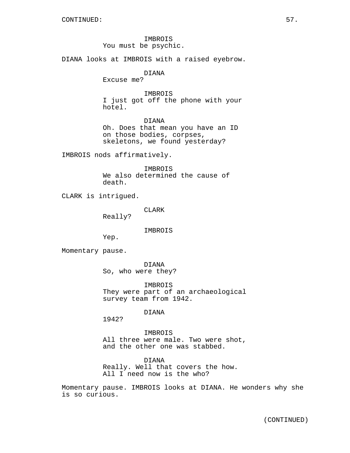IMBROIS You must be psychic.

DIANA looks at IMBROIS with a raised eyebrow.

DIANA

Excuse me?

IMBROIS I just got off the phone with your hotel.

DIANA

Oh. Does that mean you have an ID on those bodies, corpses, skeletons, we found yesterday?

IMBROIS nods affirmatively.

IMBROIS We also determined the cause of death.

CLARK is intrigued.

CLARK

Really?

IMBROIS

Yep.

Momentary pause.

DIANA So, who were they?

IMBROIS They were part of an archaeological survey team from 1942.

DIANA

1942?

IMBROIS All three were male. Two were shot, and the other one was stabbed.

DIANA Really. Well that covers the how. All I need now is the who?

Momentary pause. IMBROIS looks at DIANA. He wonders why she is so curious.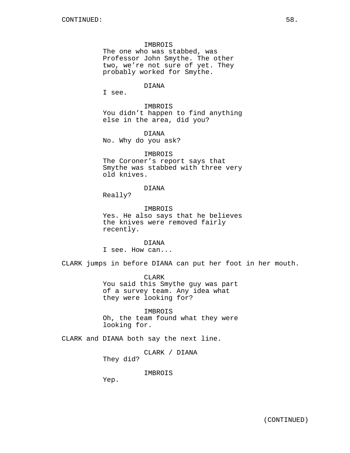IMBROIS

The one who was stabbed, was Professor John Smythe. The other two, we're not sure of yet. They probably worked for Smythe.

DIANA

I see.

IMBROIS You didn't happen to find anything else in the area, did you?

DIANA No. Why do you ask?

IMBROIS The Coroner's report says that Smythe was stabbed with three very old knives.

DIANA

Really?

IMBROIS Yes. He also says that he believes the knives were removed fairly recently.

DIANA I see. How can...

CLARK jumps in before DIANA can put her foot in her mouth.

CLARK You said this Smythe guy was part of a survey team. Any idea what they were looking for?

IMBROIS Oh, the team found what they were looking for.

CLARK and DIANA both say the next line.

CLARK / DIANA

They did?

IMBROIS

Yep.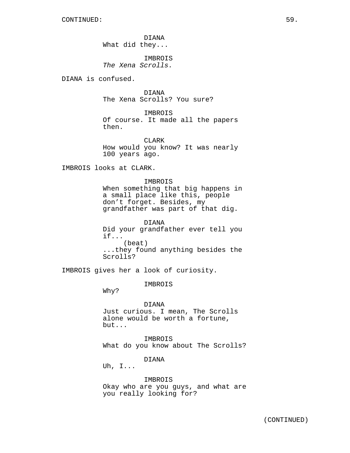DIANA What did they...

IMBROIS The Xena Scrolls.

DIANA is confused.

DIANA The Xena Scrolls? You sure?

IMBROIS Of course. It made all the papers then.

CLARK How would you know? It was nearly 100 years ago.

IMBROIS looks at CLARK.

IMBROIS When something that big happens in a small place like this, people don't forget. Besides, my grandfather was part of that dig.

DIANA Did your grandfather ever tell you if... (beat) ...they found anything besides the Scrolls?

IMBROIS gives her a look of curiosity.

IMBROIS

Why?

DIANA

Just curious. I mean, The Scrolls alone would be worth a fortune, but...

IMBROIS What do you know about The Scrolls?

DIANA

Uh, I...

IMBROIS Okay who are you guys, and what are you really looking for?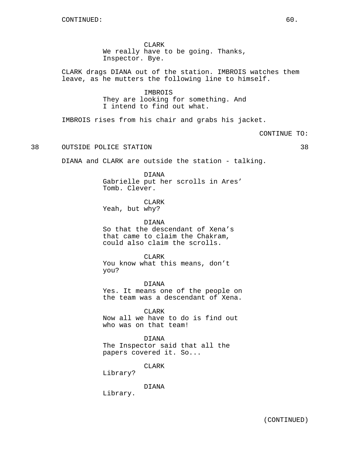CLARK We really have to be going. Thanks, Inspector. Bye.

CLARK drags DIANA out of the station. IMBROIS watches them leave, as he mutters the following line to himself.

> IMBROIS They are looking for something. And I intend to find out what.

IMBROIS rises from his chair and grabs his jacket.

CONTINUE TO:

38 OUTSIDE POLICE STATION 38

DIANA and CLARK are outside the station - talking.

DIANA Gabrielle put her scrolls in Ares' Tomb. Clever.

CLARK Yeah, but why?

DIANA So that the descendant of Xena's that came to claim the Chakram, could also claim the scrolls.

CLARK You know what this means, don't you?

DIANA Yes. It means one of the people on the team was a descendant of Xena.

CLARK Now all we have to do is find out who was on that team!

DIANA The Inspector said that all the papers covered it. So...

CLARK

Library?

DIANA

Library.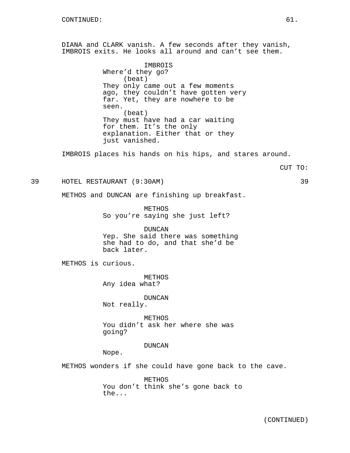DIANA and CLARK vanish. A few seconds after they vanish, IMBROIS exits. He looks all around and can't see them.

> **IMBROIS** Where'd they go? (beat) They only came out a few moments ago, they couldn't have gotten very far. Yet, they are nowhere to be seen. (beat) They must have had a car waiting for them. It's the only explanation. Either that or they just vanished.

IMBROIS places his hands on his hips, and stares around.

39 HOTEL RESTAURANT (9:30AM) 39

METHOS and DUNCAN are finishing up breakfast.

METHOS So you're saying she just left?

DUNCAN Yep. She said there was something she had to do, and that she'd be back later.

METHOS is curious.

METHOS Any idea what?

DUNCAN Not really.

METHOS You didn't ask her where she was going?

### DUNCAN

Nope.

METHOS wonders if she could have gone back to the cave.

METHOS You don't think she's gone back to the...

(CONTINUED)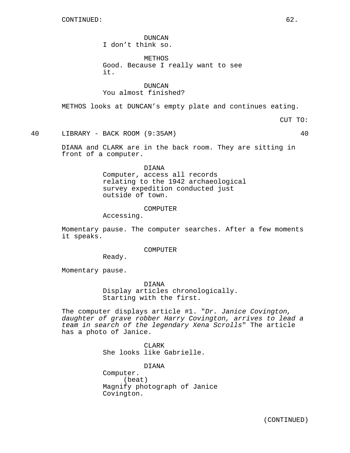DUNCAN I don't think so.

METHOS Good. Because I really want to see it.

DUNCAN You almost finished?

METHOS looks at DUNCAN's empty plate and continues eating.

CUT TO:

40 LIBRARY - BACK ROOM (9:35AM) 40

DIANA and CLARK are in the back room. They are sitting in front of a computer.

DIANA

Computer, access all records relating to the 1942 archaeological survey expedition conducted just outside of town.

COMPUTER

Accessing.

Momentary pause. The computer searches. After a few moments it speaks.

COMPUTER

Ready.

Momentary pause.

DIANA Display articles chronologically. Starting with the first.

The computer displays article #1. "Dr. Janice Covington, daughter of grave robber Harry Covington, arrives to lead a team in search of the legendary Xena Scrolls" The article has a photo of Janice.

> CLARK She looks like Gabrielle.

DIANA Computer. (beat) Magnify photograph of Janice Covington.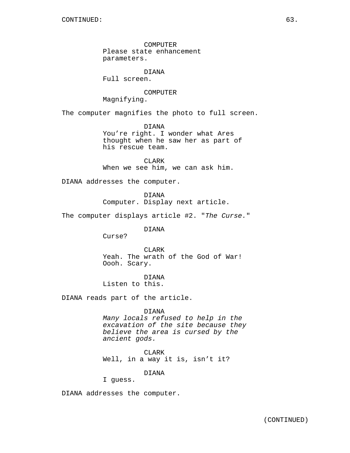COMPUTER Please state enhancement parameters.

DIANA

Full screen.

COMPUTER Magnifying.

The computer magnifies the photo to full screen.

DIANA You're right. I wonder what Ares thought when he saw her as part of his rescue team.

CLARK When we see him, we can ask him.

DIANA addresses the computer.

DIANA

Computer. Display next article.

The computer displays article #2. "The Curse."

DIANA

Curse?

CLARK Yeah. The wrath of the God of War! Oooh. Scary.

DIANA Listen to this.

DIANA reads part of the article.

# DIANA

Many locals refused to help in the excavation of the site because they believe the area is cursed by the ancient gods.

CLARK Well, in a way it is, isn't it?

DIANA

I guess.

DIANA addresses the computer.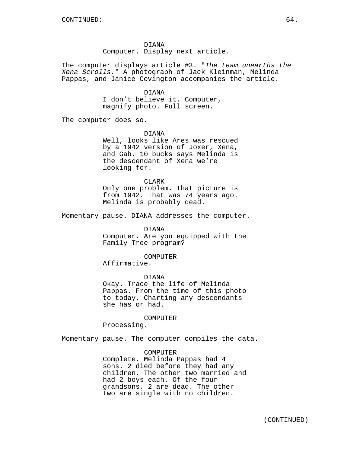DIANA Computer. Display next article.

The computer displays article #3. "The team unearths the Xena Scrolls." A photograph of Jack Kleinman, Melinda Pappas, and Janice Covington accompanies the article.

#### DIANA

I don't believe it. Computer, magnify photo. Full screen.

The computer does so.

DIANA

Well, looks like Ares was rescued by a 1942 version of Joxer, Xena, and Gab. 10 bucks says Melinda is the descendant of Xena we're looking for.

CLARK Only one problem. That picture is from 1942. That was 74 years ago. Melinda is probably dead.

Momentary pause. DIANA addresses the computer.

DIANA Computer. Are you equipped with the Family Tree program?

### COMPUTER

Affirmative.

DIANA Okay. Trace the life of Melinda Pappas. From the time of this photo to today. Charting any descendants she has or had.

#### COMPUTER

Processing.

Momentary pause. The computer compiles the data.

COMPUTER Complete. Melinda Pappas had 4 sons. 2 died before they had any children. The other two married and had 2 boys each. Of the four grandsons, 2 are dead. The other two are single with no children.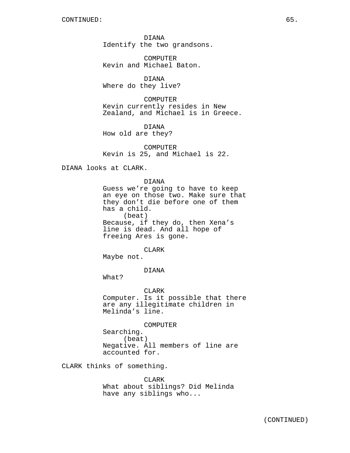DIANA Identify the two grandsons.

COMPUTER Kevin and Michael Baton.

DIANA Where do they live?

COMPUTER Kevin currently resides in New Zealand, and Michael is in Greece.

DIANA How old are they?

COMPUTER Kevin is 25, and Michael is 22.

DIANA looks at CLARK.

DIANA Guess we're going to have to keep an eye on those two. Make sure that they don't die before one of them has a child. (beat) Because, if they do, then Xena's line is dead. And all hope of freeing Ares is gone.

CLARK

Maybe not.

DIANA

What?

CLARK Computer. Is it possible that there are any illegitimate children in Melinda's line.

COMPUTER Searching. (beat) Negative. All members of line are accounted for.

CLARK thinks of something.

CLARK What about siblings? Did Melinda have any siblings who...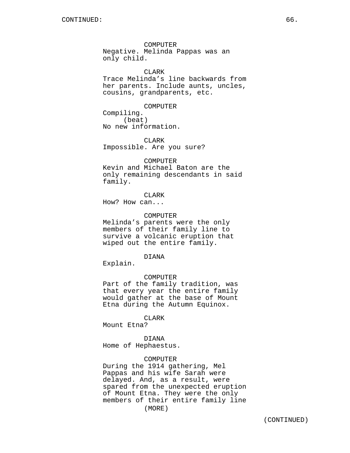COMPUTER Negative. Melinda Pappas was an only child.

CLARK

Trace Melinda's line backwards from her parents. Include aunts, uncles, cousins, grandparents, etc.

COMPUTER

Compiling. (beat) No new information.

CLARK Impossible. Are you sure?

### COMPUTER

Kevin and Michael Baton are the only remaining descendants in said family.

CLARK

How? How can...

### COMPUTER

Melinda's parents were the only members of their family line to survive a volcanic eruption that wiped out the entire family.

### DIANA

Explain.

# COMPUTER

Part of the family tradition, was that every year the entire family would gather at the base of Mount Etna during the Autumn Equinox.

#### CLARK

Mount Etna?

DIANA Home of Hephaestus.

#### COMPUTER

During the 1914 gathering, Mel Pappas and his wife Sarah were delayed. And, as a result, were spared from the unexpected eruption of Mount Etna. They were the only members of their entire family line (MORE)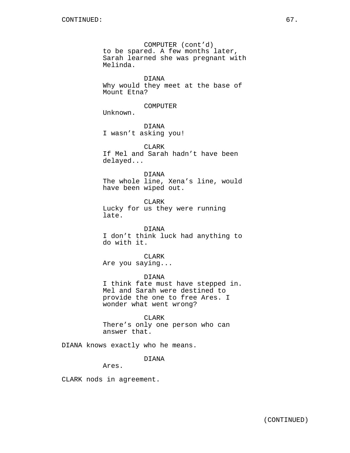COMPUTER (cont'd) to be spared. A few months later, Sarah learned she was pregnant with Melinda.

DIANA Why would they meet at the base of Mount Etna?

### COMPUTER

Unknown.

DIANA I wasn't asking you!

CLARK If Mel and Sarah hadn't have been delayed...

DIANA The whole line, Xena's line, would have been wiped out.

CLARK Lucky for us they were running late.

DIANA I don't think luck had anything to do with it.

CLARK Are you saying...

DIANA I think fate must have stepped in. Mel and Sarah were destined to provide the one to free Ares. I wonder what went wrong?

CLARK There's only one person who can answer that.

DIANA knows exactly who he means.

DIANA

Ares.

CLARK nods in agreement.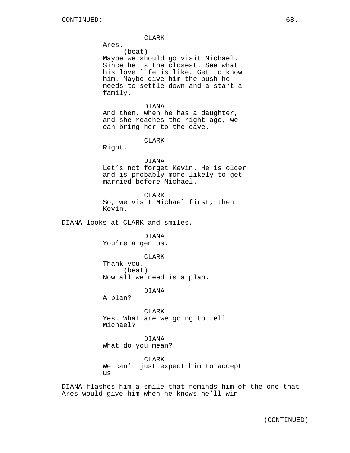# CLARK

Ares. (beat)

Maybe we should go visit Michael. Since he is the closest. See what his love life is like. Get to know him. Maybe give him the push he needs to settle down and a start a family.

DIANA

And then, when he has a daughter, and she reaches the right age, we can bring her to the cave.

CLARK

Right.

DIANA Let's not forget Kevin. He is older and is probably more likely to get married before Michael.

CLARK So, we visit Michael first, then Kevin.

DIANA looks at CLARK and smiles.

DIANA You're a genius.

### CLARK

Thank-you. (beat) Now all we need is a plan.

#### DIANA

A plan?

CLARK Yes. What are we going to tell Michael?

DIANA What do you mean?

CLARK We can't just expect him to accept us!

DIANA flashes him a smile that reminds him of the one that Ares would give him when he knows he'll win.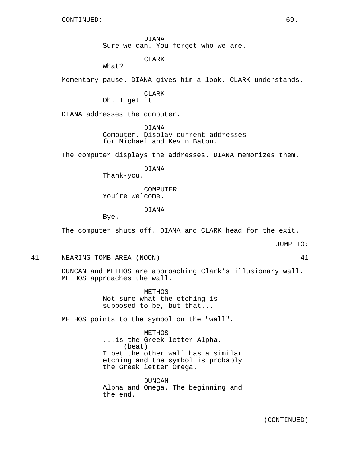CONTINUED: 69.

DIANA Sure we can. You forget who we are.

CLARK

What?

Momentary pause. DIANA gives him a look. CLARK understands.

CLARK Oh. I get it.

DIANA addresses the computer.

DIANA Computer. Display current addresses for Michael and Kevin Baton.

The computer displays the addresses. DIANA memorizes them.

DIANA

Thank-you.

COMPUTER You're welcome.

### DIANA

Bye.

The computer shuts off. DIANA and CLARK head for the exit.

JUMP TO:

41 NEARING TOMB AREA (NOON) 41

DUNCAN and METHOS are approaching Clark's illusionary wall. METHOS approaches the wall.

> METHOS Not sure what the etching is supposed to be, but that...

METHOS points to the symbol on the "wall".

METHOS ...is the Greek letter Alpha. (beat) I bet the other wall has a similar etching and the symbol is probably the Greek letter Omega.

DUNCAN Alpha and Omega. The beginning and the end.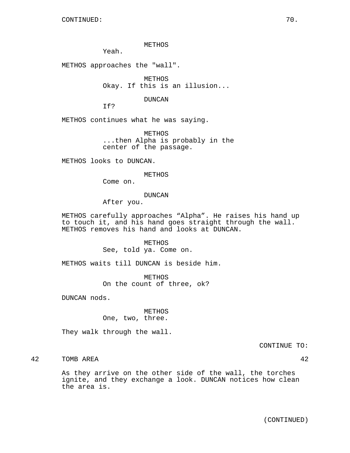METHOS

Yeah.

METHOS approaches the "wall".

METHOS Okay. If this is an illusion...

DUNCAN

If?

METHOS continues what he was saying.

METHOS ...then Alpha is probably in the center of the passage.

METHOS looks to DUNCAN.

### METHOS

Come on.

DUNCAN

After you.

METHOS carefully approaches "Alpha". He raises his hand up to touch it, and his hand goes straight through the wall. METHOS removes his hand and looks at DUNCAN.

> METHOS See, told ya. Come on.

METHOS waits till DUNCAN is beside him.

METHOS On the count of three, ok?

DUNCAN nods.

METHOS One, two, three.

They walk through the wall.

CONTINUE TO:

42 TOMB AREA 42

As they arrive on the other side of the wall, the torches ignite, and they exchange a look. DUNCAN notices how clean the area is.

(CONTINUED)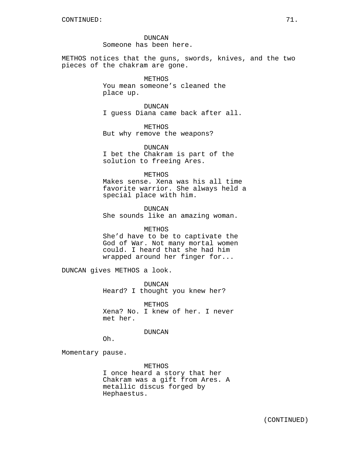DUNCAN Someone has been here.

METHOS notices that the guns, swords, knives, and the two pieces of the chakram are gone.

# METHOS

You mean someone's cleaned the place up.

DUNCAN I guess Diana came back after all.

METHOS But why remove the weapons?

DUNCAN I bet the Chakram is part of the solution to freeing Ares.

# METHOS

Makes sense. Xena was his all time favorite warrior. She always held a special place with him.

DUNCAN She sounds like an amazing woman.

### METHOS

She'd have to be to captivate the God of War. Not many mortal women could. I heard that she had him wrapped around her finger for...

DUNCAN gives METHOS a look.

DUNCAN Heard? I thought you knew her?

METHOS Xena? No. I knew of her. I never met her.

### DUNCAN

Oh.

Momentary pause.

METHOS I once heard a story that her Chakram was a gift from Ares. A metallic discus forged by Hephaestus.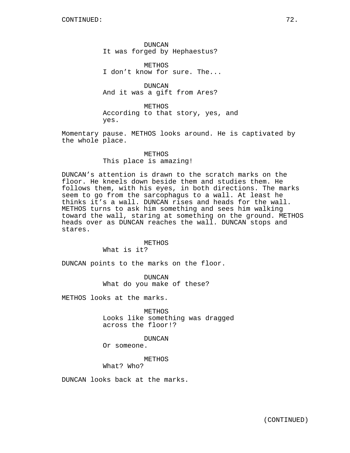DUNCAN It was forged by Hephaestus?

METHOS I don't know for sure. The...

DUNCAN And it was a gift from Ares?

METHOS According to that story, yes, and yes.

Momentary pause. METHOS looks around. He is captivated by the whole place.

## METHOS This place is amazing!

DUNCAN's attention is drawn to the scratch marks on the floor. He kneels down beside them and studies them. He follows them, with his eyes, in both directions. The marks seem to go from the sarcophagus to a wall. At least he thinks it's a wall. DUNCAN rises and heads for the wall. METHOS turns to ask him something and sees him walking toward the wall, staring at something on the ground. METHOS heads over as DUNCAN reaches the wall. DUNCAN stops and stares.

METHOS

What is it?

DUNCAN points to the marks on the floor.

DUNCAN What do you make of these?

METHOS looks at the marks.

METHOS Looks like something was dragged across the floor!?

### DUNCAN

Or someone.

METHOS What? Who?

DUNCAN looks back at the marks.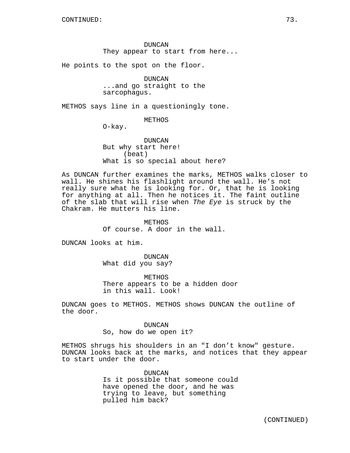DUNCAN They appear to start from here...

He points to the spot on the floor.

DUNCAN ...and go straight to the sarcophagus.

METHOS says line in a questioningly tone.

METHOS

O-kay.

DUNCAN But why start here! (beat) What is so special about here?

As DUNCAN further examines the marks, METHOS walks closer to wall. He shines his flashlight around the wall. He's not really sure what he is looking for. Or, that he is looking for anything at all. Then he notices it. The faint outline of the slab that will rise when The Eye is struck by the Chakram. He mutters his line.

> METHOS Of course. A door in the wall.

DUNCAN looks at him.

DUNCAN What did you say?

METHOS There appears to be a hidden door in this wall. Look!

DUNCAN goes to METHOS. METHOS shows DUNCAN the outline of the door.

DUNCAN

So, how do we open it?

METHOS shrugs his shoulders in an "I don't know" gesture. DUNCAN looks back at the marks, and notices that they appear to start under the door.

> DUNCAN Is it possible that someone could have opened the door, and he was trying to leave, but something pulled him back?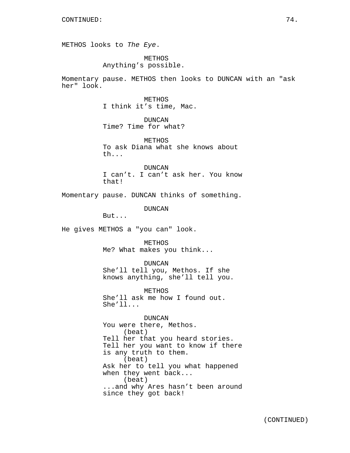METHOS looks to The Eye.

METHOS Anything's possible.

Momentary pause. METHOS then looks to DUNCAN with an "ask her" look.

> METHOS I think it's time, Mac.

DUNCAN Time? Time for what?

METHOS To ask Diana what she knows about th...

DUNCAN I can't. I can't ask her. You know that!

Momentary pause. DUNCAN thinks of something.

DUNCAN

But...

He gives METHOS a "you can" look.

METHOS Me? What makes you think...

DUNCAN

She'll tell you, Methos. If she knows anything, she'll tell you.

METHOS She'll ask me how I found out. She'll...

DUNCAN You were there, Methos. (beat) Tell her that you heard stories. Tell her you want to know if there is any truth to them. (beat) Ask her to tell you what happened when they went back... (beat) ...and why Ares hasn't been around since they got back!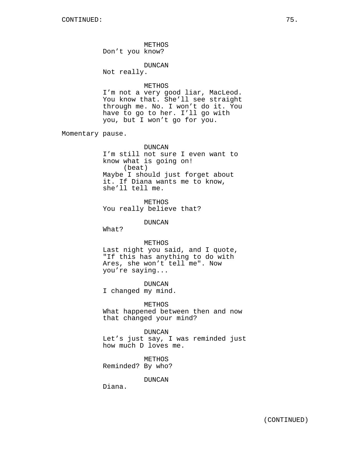METHOS Don't you know?

DUNCAN

Not really.

#### METHOS

I'm not a very good liar, MacLeod. You know that. She'll see straight through me. No. I won't do it. You have to go to her. I'll go with you, but I won't go for you.

Momentary pause.

DUNCAN I'm still not sure I even want to know what is going on! (beat) Maybe I should just forget about it. If Diana wants me to know, she'll tell me.

METHOS You really believe that?

DUNCAN

What?

#### METHOS

Last night you said, and I quote, "If this has anything to do with Ares, she won't tell me". Now you're saying...

DUNCAN I changed my mind.

METHOS

What happened between then and now that changed your mind?

DUNCAN

Let's just say, I was reminded just how much D loves me.

METHOS Reminded? By who?

DUNCAN

Diana.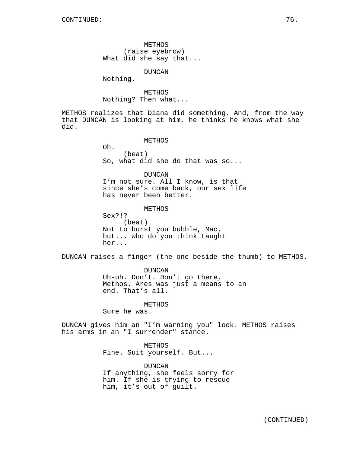METHOS (raise eyebrow) What did she say that...

DUNCAN

Nothing.

METHOS Nothing? Then what...

METHOS realizes that Diana did something. And, from the way that DUNCAN is looking at him, he thinks he knows what she did.

METHOS

Oh. (beat) So, what did she do that was so...

DUNCAN I'm not sure. All I know, is that since she's come back, our sex life has never been better.

METHOS

Sex?!? (beat) Not to burst you bubble, Mac, but... who do you think taught her...

DUNCAN raises a finger (the one beside the thumb) to METHOS.

DUNCAN Uh-uh. Don't. Don't go there, Methos. Ares was just a means to an end. That's all.

METHOS

Sure he was.

DUNCAN gives him an "I'm warning you" look. METHOS raises his arms in an "I surrender" stance.

> METHOS Fine. Suit yourself. But...

DUNCAN If anything, she feels sorry for him. If she is trying to rescue him, it's out of guilt.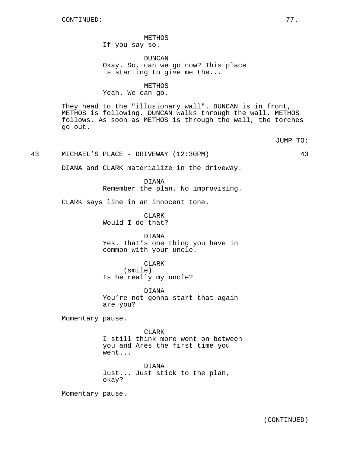METHOS If you say so.

DUNCAN Okay. So, can we go now? This place is starting to give me the...

METHOS

Yeah. We can go.

They head to the "illusionary wall". DUNCAN is in front, METHOS is following. DUNCAN walks through the wall, METHOS follows. As soon as METHOS is through the wall, the torches go out.

JUMP TO:

43 MICHAEL'S PLACE - DRIVEWAY (12:30PM) 43

DIANA and CLARK materialize in the driveway.

DIANA Remember the plan. No improvising.

CLARK says line in an innocent tone.

CLARK Would I do that?

DIANA Yes. That's one thing you have in common with your uncle.

CLARK (smile) Is he really my uncle?

DIANA You're not gonna start that again are you?

Momentary pause.

CLARK I still think more went on between you and Ares the first time you went...

DIANA Just... Just stick to the plan, okay?

Momentary pause.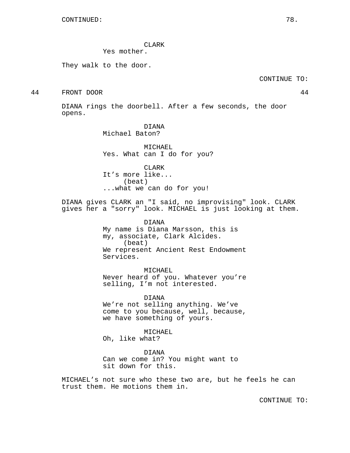CLARK

Yes mother.

They walk to the door.

CONTINUE TO:

44 FRONT DOOR 44

DIANA rings the doorbell. After a few seconds, the door opens.

### DIANA Michael Baton?

MICHAEL Yes. What can I do for you?

CLARK It's more like... (beat) ...what we can do for you!

DIANA gives CLARK an "I said, no improvising" look. CLARK gives her a "sorry" look. MICHAEL is just looking at them.

> DIANA My name is Diana Marsson, this is my, associate, Clark Alcides. (beat) We represent Ancient Rest Endowment Services.

> MICHAEL Never heard of you. Whatever you're selling, I'm not interested.

> DIANA We're not selling anything. We've come to you because, well, because, we have something of yours.

MICHAEL Oh, like what?

DIANA Can we come in? You might want to sit down for this.

MICHAEL's not sure who these two are, but he feels he can trust them. He motions them in.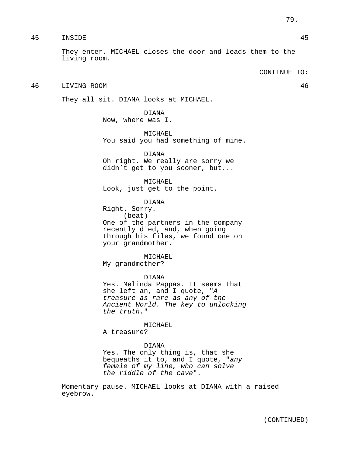45 INSIDE 45

They enter. MICHAEL closes the door and leads them to the living room.

### 46 LIVING ROOM 46

They all sit. DIANA looks at MICHAEL.

DIANA Now, where was I.

MICHAEL You said you had something of mine.

DIANA

Oh right. We really are sorry we didn't get to you sooner, but...

MICHAEL Look, just get to the point.

DIANA

Right. Sorry. (beat) One of the partners in the company recently died, and, when going through his files, we found one on your grandmother.

MICHAEL My grandmother?

DIANA Yes. Melinda Pappas. It seems that she left an, and I quote, "A treasure as rare as any of the Ancient World. The key to unlocking the truth."

#### MICHAEL

A treasure?

### DIANA

Yes. The only thing is, that she bequeaths it to, and I quote, "any female of my line, who can solve the riddle of the cave".

Momentary pause. MICHAEL looks at DIANA with a raised eyebrow.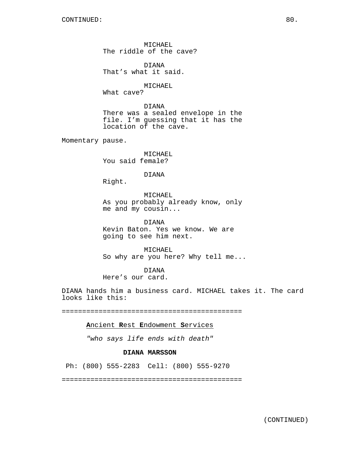MICHAEL The riddle of the cave?

DIANA That's what it said.

MICHAEL

What cave?

DIANA There was a sealed envelope in the file. I'm guessing that it has the location of the cave.

Momentary pause.

MICHAEL You said female?

DIANA

Right.

MICHAEL As you probably already know, only me and my cousin...

DIANA Kevin Baton. Yes we know. We are going to see him next.

MICHAEL So why are you here? Why tell me...

DIANA

Here's our card.

DIANA hands him a business card. MICHAEL takes it. The card looks like this:

============================================

**A**ncient **R**est **E**ndowment **S**ervices

"who says life ends with death"

# **DIANA MARSSON**

Ph: (800) 555-2283 Cell: (800) 555-9270

============================================

(CONTINUED)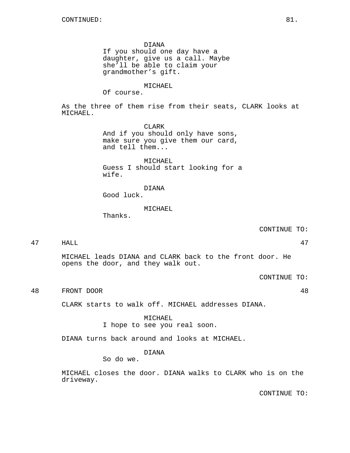DIANA

If you should one day have a daughter, give us a call. Maybe she'll be able to claim your grandmother's gift.

MICHAEL

Of course.

As the three of them rise from their seats, CLARK looks at MICHAEL.

> CLARK And if you should only have sons, make sure you give them our card, and tell them...

MICHAEL Guess I should start looking for a wife.

DIANA Good luck.

MICHAEL

Thanks.

CONTINUE TO:

47 HALL 47

MICHAEL leads DIANA and CLARK back to the front door. He opens the door, and they walk out.

CONTINUE TO:

48 FRONT DOOR 48

CLARK starts to walk off. MICHAEL addresses DIANA.

MICHAEL I hope to see you real soon.

DIANA turns back around and looks at MICHAEL.

DIANA

So do we.

MICHAEL closes the door. DIANA walks to CLARK who is on the driveway.

CONTINUE TO: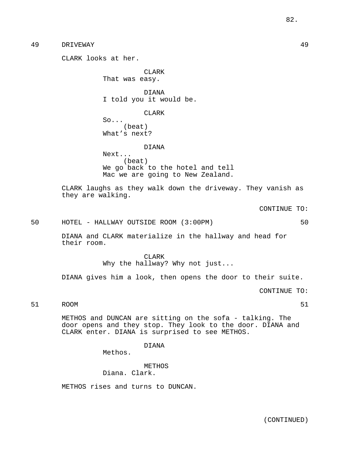CLARK looks at her.

CLARK That was easy.

DIANA I told you it would be.

CLARK

So... (beat) What's next?

DIANA

Next... (beat) We go back to the hotel and tell Mac we are going to New Zealand.

CLARK laughs as they walk down the driveway. They vanish as they are walking.

CONTINUE TO:

50 HOTEL - HALLWAY OUTSIDE ROOM (3:00PM) 50

DIANA and CLARK materialize in the hallway and head for their room.

> CLARK Why the hallway? Why not just...

DIANA gives him a look, then opens the door to their suite.

CONTINUE TO:

51 ROOM 51

METHOS and DUNCAN are sitting on the sofa - talking. The door opens and they stop. They look to the door. DIANA and CLARK enter. DIANA is surprised to see METHOS.

DIANA

Methos.

METHOS Diana. Clark.

METHOS rises and turns to DUNCAN.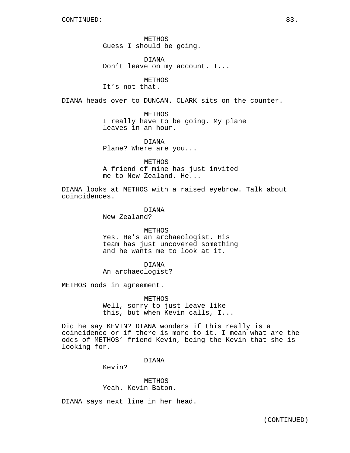METHOS Guess I should be going.

DIANA Don't leave on my account. I...

METHOS It's not that.

DIANA heads over to DUNCAN. CLARK sits on the counter.

METHOS I really have to be going. My plane leaves in an hour.

DIANA Plane? Where are you...

METHOS A friend of mine has just invited me to New Zealand. He...

DIANA looks at METHOS with a raised eyebrow. Talk about coincidences.

> DIANA New Zealand?

METHOS Yes. He's an archaeologist. His team has just uncovered something and he wants me to look at it.

DIANA An archaeologist?

METHOS nods in agreement.

METHOS Well, sorry to just leave like this, but when Kevin calls, I...

Did he say KEVIN? DIANA wonders if this really is a coincidence or if there is more to it. I mean what are the odds of METHOS' friend Kevin, being the Kevin that she is looking for.

DIANA

Kevin?

METHOS Yeah. Kevin Baton.

DIANA says next line in her head.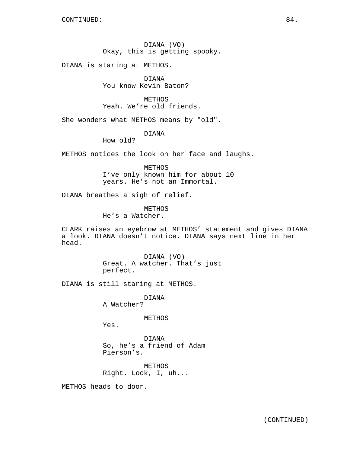DIANA (VO) Okay, this is getting spooky.

DIANA is staring at METHOS.

DIANA You know Kevin Baton?

METHOS Yeah. We're old friends.

She wonders what METHOS means by "old".

## DIANA

How old?

METHOS notices the look on her face and laughs.

METHOS I've only known him for about 10 years. He's not an Immortal.

DIANA breathes a sigh of relief.

METHOS He's a Watcher.

CLARK raises an eyebrow at METHOS' statement and gives DIANA a look. DIANA doesn't notice. DIANA says next line in her head.

> DIANA (VO) Great. A watcher. That's just perfect.

DIANA is still staring at METHOS.

DIANA A Watcher?

METHOS

Yes.

DIANA So, he's a friend of Adam Pierson's.

METHOS Right. Look, I, uh...

METHOS heads to door.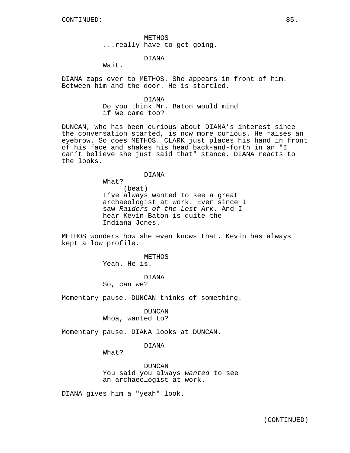METHOS ...really have to get going.

### DIANA

Wait.

DIANA zaps over to METHOS. She appears in front of him. Between him and the door. He is startled.

> DIANA Do you think Mr. Baton would mind if we came too?

DUNCAN, who has been curious about DIANA's interest since the conversation started, is now more curious. He raises an eyebrow. So does METHOS. CLARK just places his hand in front of his face and shakes his head back-and-forth in an "I can't believe she just said that" stance. DIANA reacts to the looks.

#### DIANA

What? (beat) I've always wanted to see a great archaeologist at work. Ever since I saw Raiders of the Lost Ark. And I hear Kevin Baton is quite the Indiana Jones.

METHOS wonders how she even knows that. Kevin has always kept a low profile.

> METHOS Yeah. He is.

## DIANA

So, can we?

Momentary pause. DUNCAN thinks of something.

DUNCAN Whoa, wanted to?

Momentary pause. DIANA looks at DUNCAN.

### DIANA

What?

DUNCAN You said you always wanted to see an archaeologist at work.

DIANA gives him a "yeah" look.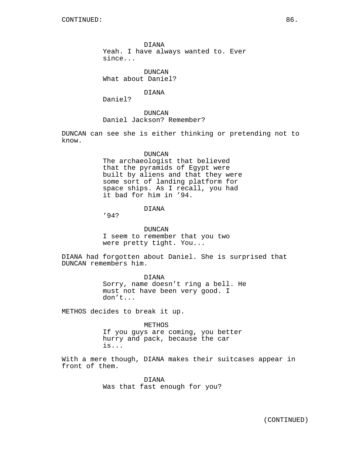DIANA Yeah. I have always wanted to. Ever since...

DUNCAN What about Daniel?

DIANA

Daniel?

DUNCAN Daniel Jackson? Remember?

DUNCAN can see she is either thinking or pretending not to know.

#### DUNCAN

The archaeologist that believed that the pyramids of Egypt were built by aliens and that they were some sort of landing platform for space ships. As I recall, you had it bad for him in '94.

# DIANA

'94?

DUNCAN I seem to remember that you two were pretty tight. You...

DIANA had forgotten about Daniel. She is surprised that DUNCAN remembers him.

> DIANA Sorry, name doesn't ring a bell. He must not have been very good. I don't...

METHOS decides to break it up.

METHOS If you guys are coming, you better hurry and pack, because the car is...

With a mere though, DIANA makes their suitcases appear in front of them.

> DIANA Was that fast enough for you?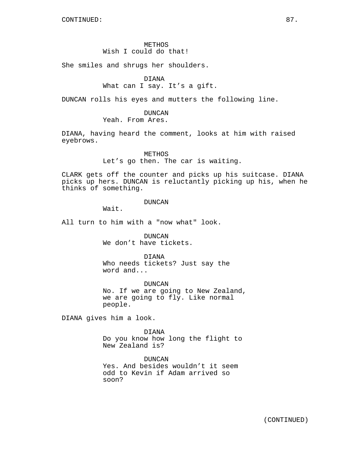## METHOS Wish I could do that!

She smiles and shrugs her shoulders.

## DIANA

# What can I say. It's a gift.

DUNCAN rolls his eyes and mutters the following line.

#### DUNCAN

Yeah. From Ares.

DIANA, having heard the comment, looks at him with raised eyebrows.

## METHOS Let's go then. The car is waiting.

CLARK gets off the counter and picks up his suitcase. DIANA picks up hers. DUNCAN is reluctantly picking up his, when he thinks of something.

### DUNCAN

Wait.

All turn to him with a "now what" look.

DUNCAN We don't have tickets.

DIANA Who needs tickets? Just say the word and...

DUNCAN No. If we are going to New Zealand, we are going to fly. Like normal people.

DIANA gives him a look.

DIANA Do you know how long the flight to New Zealand is?

DUNCAN Yes. And besides wouldn't it seem odd to Kevin if Adam arrived so soon?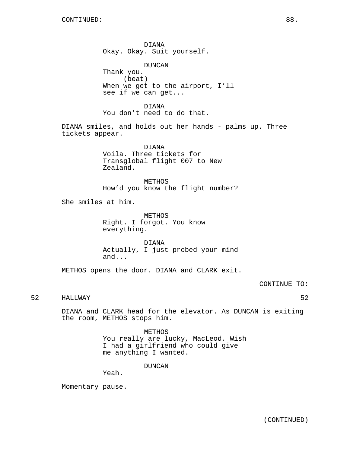DIANA Okay. Okay. Suit yourself.

DUNCAN Thank you. (beat) When we get to the airport, I'll see if we can get...

DIANA You don't need to do that.

DIANA smiles, and holds out her hands - palms up. Three tickets appear.

> DIANA Voila. Three tickets for Transglobal flight 007 to New Zealand.

METHOS How'd you know the flight number?

She smiles at him.

METHOS Right. I forgot. You know everything.

DIANA Actually, I just probed your mind and...

METHOS opens the door. DIANA and CLARK exit.

CONTINUE TO:

# 52 HALLWAY 52

DIANA and CLARK head for the elevator. As DUNCAN is exiting the room, METHOS stops him.

> METHOS You really are lucky, MacLeod. Wish I had a girlfriend who could give me anything I wanted.

> > DUNCAN

Yeah.

Momentary pause.